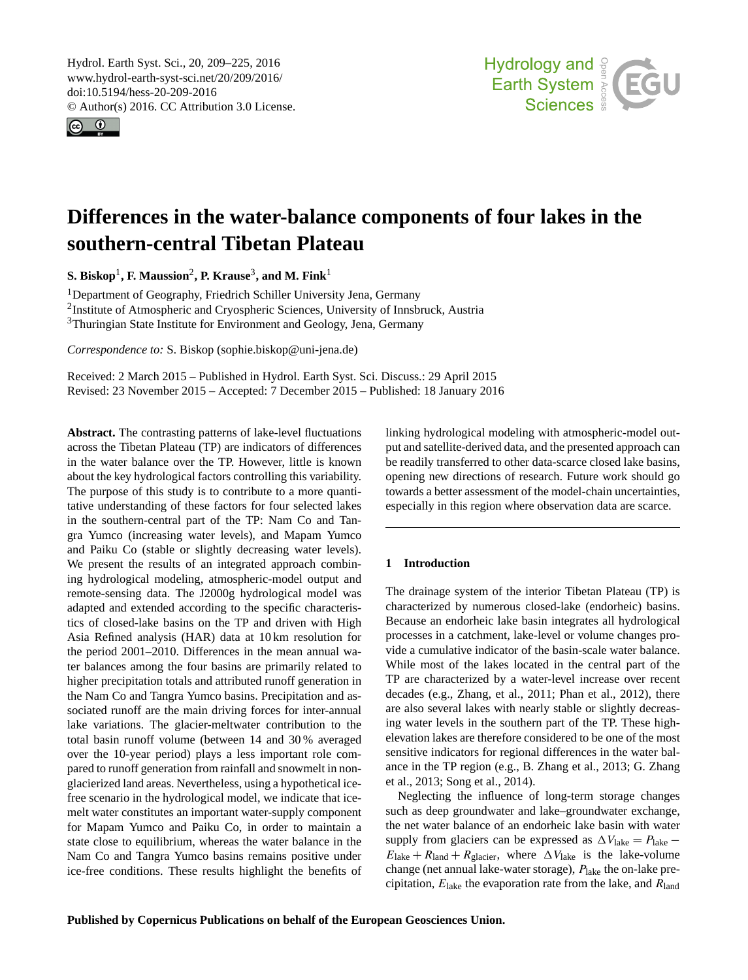<span id="page-0-1"></span>Hydrol. Earth Syst. Sci., 20, 209–225, 2016 www.hydrol-earth-syst-sci.net/20/209/2016/ doi:10.5194/hess-20-209-2016 © Author(s) 2016. CC Attribution 3.0 License.





# **Differences in the water-balance components of four lakes in the southern-central Tibetan Plateau**

 ${\bf S.~Biskop}^1$  ${\bf S.~Biskop}^1$ ,  ${\bf F.~Maussian}^2$  ${\bf F.~Maussian}^2$ ,  ${\bf P.~Krause}^3$  ${\bf P.~Krause}^3$ , and  ${\bf M.~Fink}^1$ 

<sup>1</sup>Department of Geography, Friedrich Schiller University Jena, Germany <sup>2</sup>Institute of Atmospheric and Cryospheric Sciences, University of Innsbruck, Austria <sup>3</sup>Thuringian State Institute for Environment and Geology, Jena, Germany

*Correspondence to:* S. Biskop (sophie.biskop@uni-jena.de)

Received: 2 March 2015 – Published in Hydrol. Earth Syst. Sci. Discuss.: 29 April 2015 Revised: 23 November 2015 – Accepted: 7 December 2015 – Published: 18 January 2016

<span id="page-0-0"></span>**Abstract.** The contrasting patterns of lake-level fluctuations across the Tibetan Plateau (TP) are indicators of differences in the water balance over the TP. However, little is known about the key hydrological factors controlling this variability. The purpose of this study is to contribute to a more quantitative understanding of these factors for four selected lakes in the southern-central part of the TP: Nam Co and Tangra Yumco (increasing water levels), and Mapam Yumco and Paiku Co (stable or slightly decreasing water levels). We present the results of an integrated approach combining hydrological modeling, atmospheric-model output and remote-sensing data. The J2000g hydrological model was adapted and extended according to the specific characteristics of closed-lake basins on the TP and driven with High Asia Refined analysis (HAR) data at 10 km resolution for the period 2001–2010. Differences in the mean annual water balances among the four basins are primarily related to higher precipitation totals and attributed runoff generation in the Nam Co and Tangra Yumco basins. Precipitation and associated runoff are the main driving forces for inter-annual lake variations. The glacier-meltwater contribution to the total basin runoff volume (between 14 and 30 % averaged over the 10-year period) plays a less important role compared to runoff generation from rainfall and snowmelt in nonglacierized land areas. Nevertheless, using a hypothetical icefree scenario in the hydrological model, we indicate that icemelt water constitutes an important water-supply component for Mapam Yumco and Paiku Co, in order to maintain a state close to equilibrium, whereas the water balance in the Nam Co and Tangra Yumco basins remains positive under ice-free conditions. These results highlight the benefits of

linking hydrological modeling with atmospheric-model output and satellite-derived data, and the presented approach can be readily transferred to other data-scarce closed lake basins, opening new directions of research. Future work should go towards a better assessment of the model-chain uncertainties, especially in this region where observation data are scarce.

# **1 Introduction**

The drainage system of the interior Tibetan Plateau (TP) is characterized by numerous closed-lake (endorheic) basins. Because an endorheic lake basin integrates all hydrological processes in a catchment, lake-level or volume changes provide a cumulative indicator of the basin-scale water balance. While most of the lakes located in the central part of the TP are characterized by a water-level increase over recent decades (e.g., Zhang, et al., 2011; Phan et al., 2012), there are also several lakes with nearly stable or slightly decreasing water levels in the southern part of the TP. These highelevation lakes are therefore considered to be one of the most sensitive indicators for regional differences in the water balance in the TP region (e.g., B. Zhang et al., 2013; G. Zhang et al., 2013; Song et al., 2014).

Neglecting the influence of long-term storage changes such as deep groundwater and lake–groundwater exchange, the net water balance of an endorheic lake basin with water supply from glaciers can be expressed as  $\Delta V_{\text{late}} = P_{\text{late}} E_{\text{label}} + R_{\text{land}} + R_{\text{glacier}}$ , where  $\Delta V_{\text{label}}$  is the lake-volume change (net annual lake-water storage),  $P_{\text{late}}$  the on-lake precipitation,  $E_{\text{label}}$  the evaporation rate from the lake, and  $R_{\text{land}}$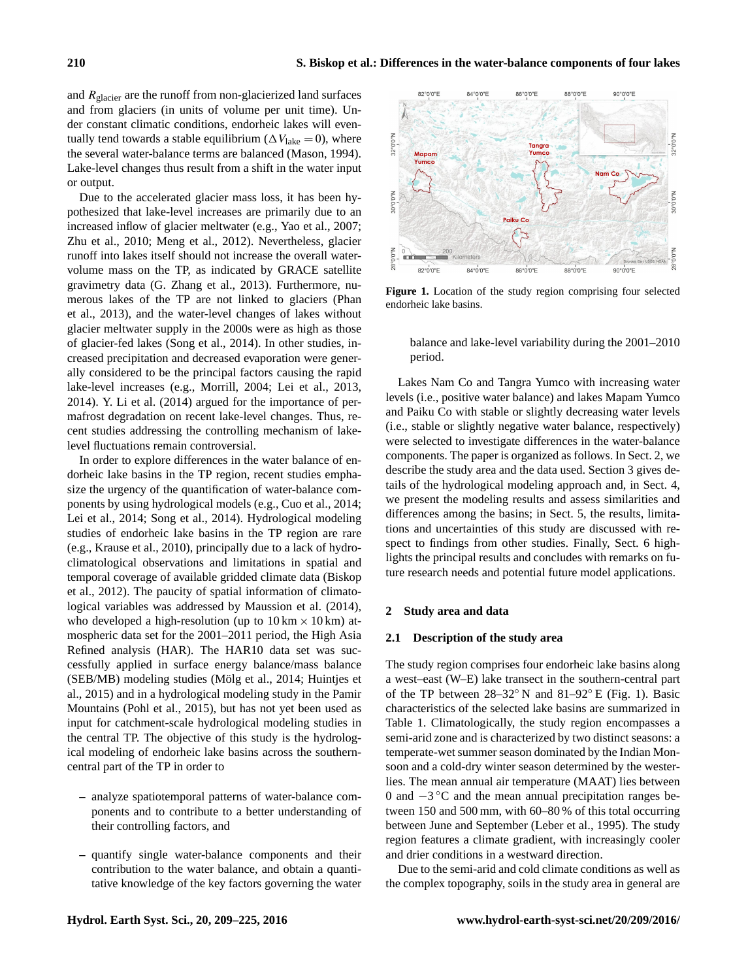and  $R_{\text{glacier}}$  are the runoff from non-glacierized land surfaces and from glaciers (in units of volume per unit time). Under constant climatic conditions, endorheic lakes will eventually tend towards a stable equilibrium ( $\Delta V_{\text{late}} = 0$ ), where the several water-balance terms are balanced (Mason, 1994). Lake-level changes thus result from a shift in the water input or output.

Due to the accelerated glacier mass loss, it has been hypothesized that lake-level increases are primarily due to an increased inflow of glacier meltwater (e.g., Yao et al., 2007; Zhu et al., 2010; Meng et al., 2012). Nevertheless, glacier runoff into lakes itself should not increase the overall watervolume mass on the TP, as indicated by GRACE satellite gravimetry data (G. Zhang et al., 2013). Furthermore, numerous lakes of the TP are not linked to glaciers (Phan et al., 2013), and the water-level changes of lakes without glacier meltwater supply in the 2000s were as high as those of glacier-fed lakes (Song et al., 2014). In other studies, increased precipitation and decreased evaporation were generally considered to be the principal factors causing the rapid lake-level increases (e.g., Morrill, 2004; Lei et al., 2013, 2014). Y. Li et al. (2014) argued for the importance of permafrost degradation on recent lake-level changes. Thus, recent studies addressing the controlling mechanism of lakelevel fluctuations remain controversial.

In order to explore differences in the water balance of endorheic lake basins in the TP region, recent studies emphasize the urgency of the quantification of water-balance components by using hydrological models (e.g., Cuo et al., 2014; Lei et al., 2014; Song et al., 2014). Hydrological modeling studies of endorheic lake basins in the TP region are rare (e.g., Krause et al., 2010), principally due to a lack of hydroclimatological observations and limitations in spatial and temporal coverage of available gridded climate data (Biskop et al., 2012). The paucity of spatial information of climatological variables was addressed by Maussion et al. (2014), who developed a high-resolution (up to  $10 \text{ km} \times 10 \text{ km}$ ) atmospheric data set for the 2001–2011 period, the High Asia Refined analysis (HAR). The HAR10 data set was successfully applied in surface energy balance/mass balance (SEB/MB) modeling studies (Mölg et al., 2014; Huintjes et al., 2015) and in a hydrological modeling study in the Pamir Mountains (Pohl et al., 2015), but has not yet been used as input for catchment-scale hydrological modeling studies in the central TP. The objective of this study is the hydrological modeling of endorheic lake basins across the southerncentral part of the TP in order to

- **–** analyze spatiotemporal patterns of water-balance components and to contribute to a better understanding of their controlling factors, and
- **–** quantify single water-balance components and their contribution to the water balance, and obtain a quantitative knowledge of the key factors governing the water



**Figure 1.** Location of the study region comprising four selected endorheic lake basins.

balance and lake-level variability during the 2001–2010 period.

Lakes Nam Co and Tangra Yumco with increasing water levels (i.e., positive water balance) and lakes Mapam Yumco and Paiku Co with stable or slightly decreasing water levels (i.e., stable or slightly negative water balance, respectively) were selected to investigate differences in the water-balance components. The paper is organized as follows. In Sect. 2, we describe the study area and the data used. Section 3 gives details of the hydrological modeling approach and, in Sect. 4, we present the modeling results and assess similarities and differences among the basins; in Sect. 5, the results, limitations and uncertainties of this study are discussed with respect to findings from other studies. Finally, Sect. 6 highlights the principal results and concludes with remarks on future research needs and potential future model applications.

## **2 Study area and data**

## **2.1 Description of the study area**

The study region comprises four endorheic lake basins along a west–east (W–E) lake transect in the southern-central part of the TP between  $28-32°$  N and  $81-92°$  E (Fig. 1). Basic characteristics of the selected lake basins are summarized in Table 1. Climatologically, the study region encompasses a semi-arid zone and is characterized by two distinct seasons: a temperate-wet summer season dominated by the Indian Monsoon and a cold-dry winter season determined by the westerlies. The mean annual air temperature (MAAT) lies between 0 and −3 ◦C and the mean annual precipitation ranges between 150 and 500 mm, with 60–80 % of this total occurring between June and September (Leber et al., 1995). The study region features a climate gradient, with increasingly cooler and drier conditions in a westward direction.

Due to the semi-arid and cold climate conditions as well as the complex topography, soils in the study area in general are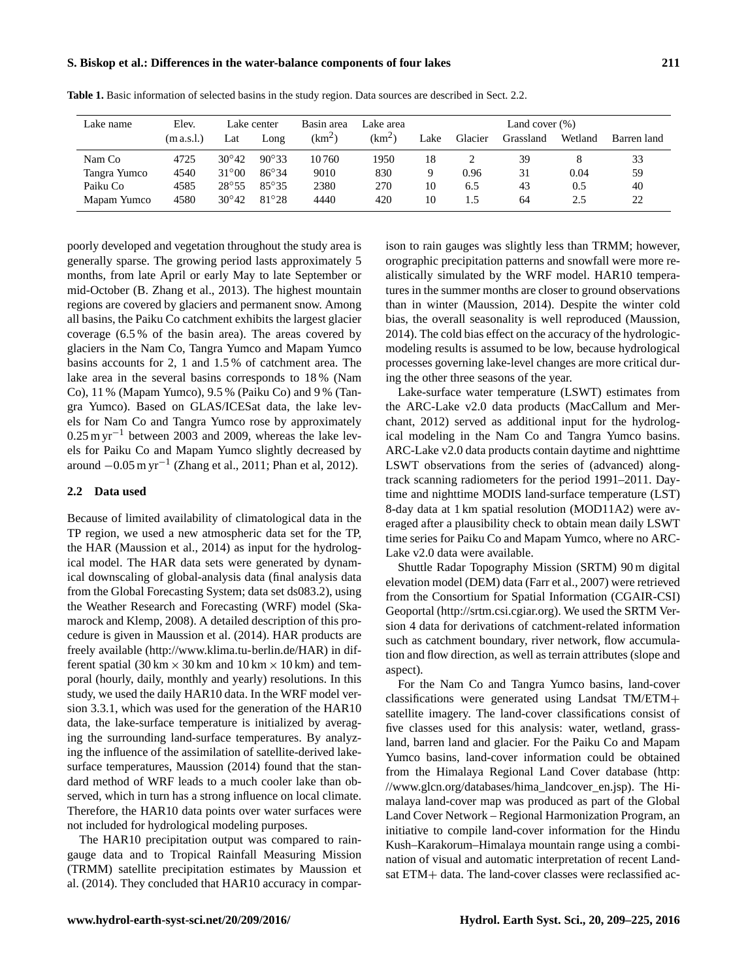| Lake name    | Elev.      | Lake center    |                | Basin area | Lake area | Land cover $(\%)$ |         |           |         |             |
|--------------|------------|----------------|----------------|------------|-----------|-------------------|---------|-----------|---------|-------------|
|              | (m a.s.l.) | Lat            | Long           | $(km^2)$   | $(km^2)$  | Lake              | Glacier | Grassland | Wetland | Barren land |
| Nam Co       | 4725       | $30^{\circ}42$ | $90^{\circ}33$ | 10760      | 1950      | 18                |         | 39        |         | 33          |
| Tangra Yumco | 4540       | $31^{\circ}00$ | $86^\circ$ 34  | 9010       | 830       | Q                 | 0.96    | 31        | 0.04    | 59          |
| Paiku Co     | 4585       | $28^{\circ}55$ | $85^\circ$ 35  | 2380       | 270       | 10                | 6.5     | 43        | 0.5     | 40          |
| Mapam Yumco  | 4580       | $30^{\circ}42$ | $81^\circ 28$  | 4440       | 420       | 10                | 1.5     | 64        | 2.5     | 22          |

**Table 1.** Basic information of selected basins in the study region. Data sources are described in Sect. 2.2.

poorly developed and vegetation throughout the study area is generally sparse. The growing period lasts approximately 5 months, from late April or early May to late September or mid-October (B. Zhang et al., 2013). The highest mountain regions are covered by glaciers and permanent snow. Among all basins, the Paiku Co catchment exhibits the largest glacier coverage (6.5 % of the basin area). The areas covered by glaciers in the Nam Co, Tangra Yumco and Mapam Yumco basins accounts for 2, 1 and 1.5 % of catchment area. The lake area in the several basins corresponds to 18 % (Nam Co), 11 % (Mapam Yumco), 9.5 % (Paiku Co) and 9 % (Tangra Yumco). Based on GLAS/ICESat data, the lake levels for Nam Co and Tangra Yumco rose by approximately  $0.25 \text{ m yr}^{-1}$  between 2003 and 2009, whereas the lake levels for Paiku Co and Mapam Yumco slightly decreased by around  $-0.05 \text{ m yr}^{-1}$  (Zhang et al., 2011; Phan et al, 2012).

# **2.2 Data used**

Because of limited availability of climatological data in the TP region, we used a new atmospheric data set for the TP, the HAR (Maussion et al., 2014) as input for the hydrological model. The HAR data sets were generated by dynamical downscaling of global-analysis data (final analysis data from the Global Forecasting System; data set ds083.2), using the Weather Research and Forecasting (WRF) model (Skamarock and Klemp, 2008). A detailed description of this procedure is given in Maussion et al. (2014). HAR products are freely available [\(http://www.klima.tu-berlin.de/HAR\)](http://www.klima.tu-berlin.de/HAR) in different spatial  $(30 \text{ km} \times 30 \text{ km} \text{ and } 10 \text{ km} \times 10 \text{ km})$  and temporal (hourly, daily, monthly and yearly) resolutions. In this study, we used the daily HAR10 data. In the WRF model version 3.3.1, which was used for the generation of the HAR10 data, the lake-surface temperature is initialized by averaging the surrounding land-surface temperatures. By analyzing the influence of the assimilation of satellite-derived lakesurface temperatures, Maussion (2014) found that the standard method of WRF leads to a much cooler lake than observed, which in turn has a strong influence on local climate. Therefore, the HAR10 data points over water surfaces were not included for hydrological modeling purposes.

The HAR10 precipitation output was compared to raingauge data and to Tropical Rainfall Measuring Mission (TRMM) satellite precipitation estimates by Maussion et al. (2014). They concluded that HAR10 accuracy in comparison to rain gauges was slightly less than TRMM; however, orographic precipitation patterns and snowfall were more realistically simulated by the WRF model. HAR10 temperatures in the summer months are closer to ground observations than in winter (Maussion, 2014). Despite the winter cold bias, the overall seasonality is well reproduced (Maussion, 2014). The cold bias effect on the accuracy of the hydrologicmodeling results is assumed to be low, because hydrological processes governing lake-level changes are more critical during the other three seasons of the year.

Lake-surface water temperature (LSWT) estimates from the ARC-Lake v2.0 data products (MacCallum and Merchant, 2012) served as additional input for the hydrological modeling in the Nam Co and Tangra Yumco basins. ARC-Lake v2.0 data products contain daytime and nighttime LSWT observations from the series of (advanced) alongtrack scanning radiometers for the period 1991–2011. Daytime and nighttime MODIS land-surface temperature (LST) 8-day data at 1 km spatial resolution (MOD11A2) were averaged after a plausibility check to obtain mean daily LSWT time series for Paiku Co and Mapam Yumco, where no ARC-Lake v2.0 data were available.

Shuttle Radar Topography Mission (SRTM) 90 m digital elevation model (DEM) data (Farr et al., 2007) were retrieved from the Consortium for Spatial Information (CGAIR-CSI) Geoportal [\(http://srtm.csi.cgiar.org\)](http://srtm.csi.cgiar.org). We used the SRTM Version 4 data for derivations of catchment-related information such as catchment boundary, river network, flow accumulation and flow direction, as well as terrain attributes (slope and aspect).

For the Nam Co and Tangra Yumco basins, land-cover classifications were generated using Landsat TM/ETM+ satellite imagery. The land-cover classifications consist of five classes used for this analysis: water, wetland, grassland, barren land and glacier. For the Paiku Co and Mapam Yumco basins, land-cover information could be obtained from the Himalaya Regional Land Cover database [\(http:](http://www.glcn.org/databases/hima_landcover_en.jsp) [//www.glcn.org/databases/hima\\_landcover\\_en.jsp\)](http://www.glcn.org/databases/hima_landcover_en.jsp). The Himalaya land-cover map was produced as part of the Global Land Cover Network – Regional Harmonization Program, an initiative to compile land-cover information for the Hindu Kush–Karakorum–Himalaya mountain range using a combination of visual and automatic interpretation of recent Landsat ETM+ data. The land-cover classes were reclassified ac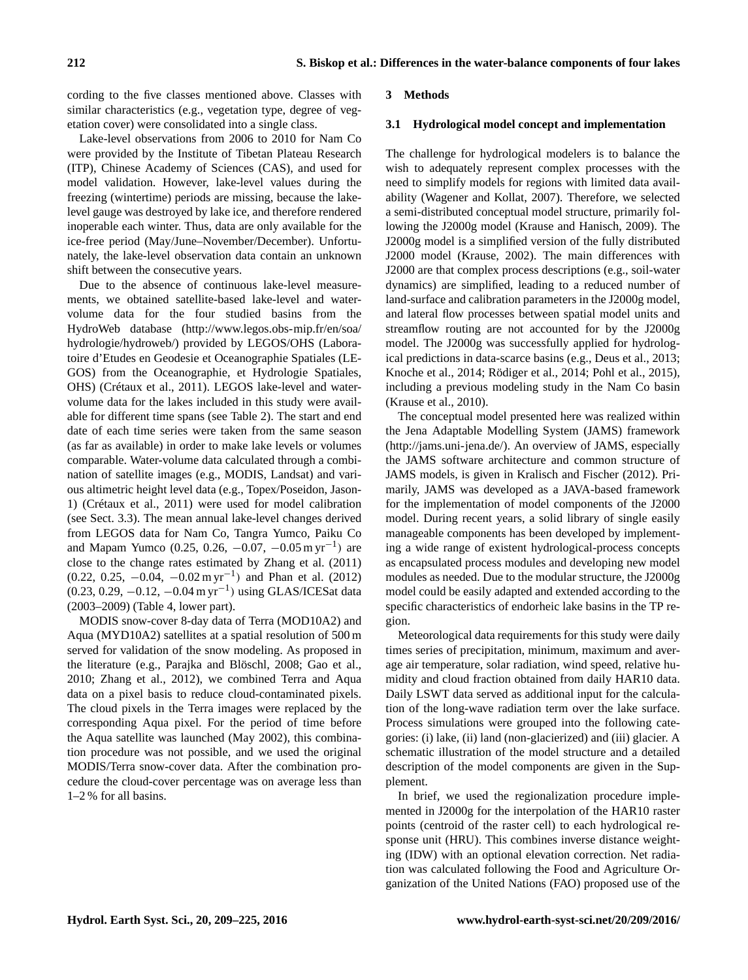cording to the five classes mentioned above. Classes with similar characteristics (e.g., vegetation type, degree of vegetation cover) were consolidated into a single class.

Lake-level observations from 2006 to 2010 for Nam Co were provided by the Institute of Tibetan Plateau Research (ITP), Chinese Academy of Sciences (CAS), and used for model validation. However, lake-level values during the freezing (wintertime) periods are missing, because the lakelevel gauge was destroyed by lake ice, and therefore rendered inoperable each winter. Thus, data are only available for the ice-free period (May/June–November/December). Unfortunately, the lake-level observation data contain an unknown shift between the consecutive years.

Due to the absence of continuous lake-level measurements, we obtained satellite-based lake-level and watervolume data for the four studied basins from the HydroWeb database [\(http://www.legos.obs-mip.fr/en/soa/](http://www.legos.obs-mip.fr/en/soa/hydrologie/hydroweb/) [hydrologie/hydroweb/\)](http://www.legos.obs-mip.fr/en/soa/hydrologie/hydroweb/) provided by LEGOS/OHS (Laboratoire d'Etudes en Geodesie et Oceanographie Spatiales (LE-GOS) from the Oceanographie, et Hydrologie Spatiales, OHS) (Crétaux et al., 2011). LEGOS lake-level and watervolume data for the lakes included in this study were available for different time spans (see Table 2). The start and end date of each time series were taken from the same season (as far as available) in order to make lake levels or volumes comparable. Water-volume data calculated through a combination of satellite images (e.g., MODIS, Landsat) and various altimetric height level data (e.g., Topex/Poseidon, Jason-1) (Crétaux et al., 2011) were used for model calibration (see Sect. 3.3). The mean annual lake-level changes derived from LEGOS data for Nam Co, Tangra Yumco, Paiku Co and Mapam Yumco (0.25, 0.26,  $-0.07$ ,  $-0.05$  m yr<sup>-1</sup>) are close to the change rates estimated by Zhang et al. (2011) (0.22, 0.25,  $-0.04$ ,  $-0.02$  m yr<sup>-1</sup>) and Phan et al. (2012) (0.23, 0.29, −0.12, −0.04 m yr−<sup>1</sup> ) using GLAS/ICESat data (2003–2009) (Table 4, lower part).

MODIS snow-cover 8-day data of Terra (MOD10A2) and Aqua (MYD10A2) satellites at a spatial resolution of 500 m served for validation of the snow modeling. As proposed in the literature (e.g., Parajka and Blöschl, 2008; Gao et al., 2010; Zhang et al., 2012), we combined Terra and Aqua data on a pixel basis to reduce cloud-contaminated pixels. The cloud pixels in the Terra images were replaced by the corresponding Aqua pixel. For the period of time before the Aqua satellite was launched (May 2002), this combination procedure was not possible, and we used the original MODIS/Terra snow-cover data. After the combination procedure the cloud-cover percentage was on average less than 1–2 % for all basins.

#### **3 Methods**

#### **3.1 Hydrological model concept and implementation**

The challenge for hydrological modelers is to balance the wish to adequately represent complex processes with the need to simplify models for regions with limited data availability (Wagener and Kollat, 2007). Therefore, we selected a semi-distributed conceptual model structure, primarily following the J2000g model (Krause and Hanisch, 2009). The J2000g model is a simplified version of the fully distributed J2000 model (Krause, 2002). The main differences with J2000 are that complex process descriptions (e.g., soil-water dynamics) are simplified, leading to a reduced number of land-surface and calibration parameters in the J2000g model, and lateral flow processes between spatial model units and streamflow routing are not accounted for by the J2000g model. The J2000g was successfully applied for hydrological predictions in data-scarce basins (e.g., Deus et al., 2013; Knoche et al., 2014; Rödiger et al., 2014; Pohl et al., 2015), including a previous modeling study in the Nam Co basin (Krause et al., 2010).

The conceptual model presented here was realized within the Jena Adaptable Modelling System (JAMS) framework [\(http://jams.uni-jena.de/\)](http://jams.uni-jena.de/). An overview of JAMS, especially the JAMS software architecture and common structure of JAMS models, is given in Kralisch and Fischer (2012). Primarily, JAMS was developed as a JAVA-based framework for the implementation of model components of the J2000 model. During recent years, a solid library of single easily manageable components has been developed by implementing a wide range of existent hydrological-process concepts as encapsulated process modules and developing new model modules as needed. Due to the modular structure, the J2000g model could be easily adapted and extended according to the specific characteristics of endorheic lake basins in the TP region.

Meteorological data requirements for this study were daily times series of precipitation, minimum, maximum and average air temperature, solar radiation, wind speed, relative humidity and cloud fraction obtained from daily HAR10 data. Daily LSWT data served as additional input for the calculation of the long-wave radiation term over the lake surface. Process simulations were grouped into the following categories: (i) lake, (ii) land (non-glacierized) and (iii) glacier. A schematic illustration of the model structure and a detailed description of the model components are given in the Supplement.

In brief, we used the regionalization procedure implemented in J2000g for the interpolation of the HAR10 raster points (centroid of the raster cell) to each hydrological response unit (HRU). This combines inverse distance weighting (IDW) with an optional elevation correction. Net radiation was calculated following the Food and Agriculture Organization of the United Nations (FAO) proposed use of the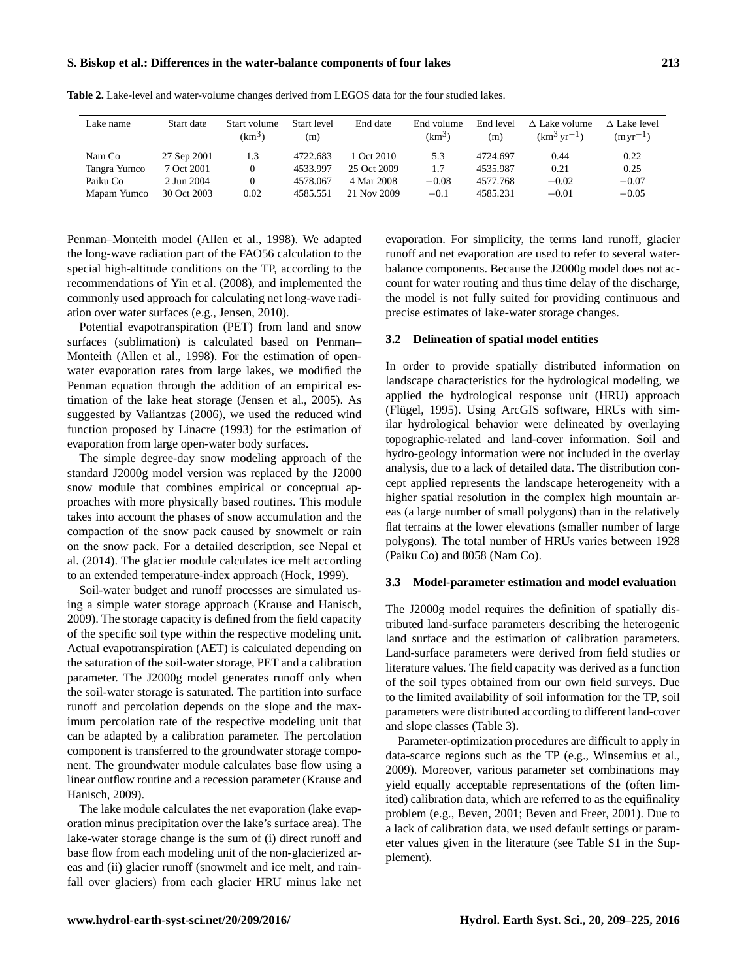| Lake name    | Start date  | Start volume<br>$(km^3)$ | Start level<br>(m) | End date    | End volume<br>$(km^3)$ | End level<br>(m) | $\triangle$ Lake volume<br>$(km^3 yr^{-1})$ | $\triangle$ Lake level<br>$(myr^{-1})$ |
|--------------|-------------|--------------------------|--------------------|-------------|------------------------|------------------|---------------------------------------------|----------------------------------------|
| Nam Co       | 27 Sep 2001 | 1.3                      | 4722.683           | 1 Oct 2010  | 5.3                    | 4724.697         | 0.44                                        | 0.22                                   |
| Tangra Yumco | 7 Oct 2001  | 0                        | 4533.997           | 25 Oct 2009 | 1.7                    | 4535.987         | 0.21                                        | 0.25                                   |
| Paiku Co     | 2 Jun 2004  | 0                        | 4578.067           | 4 Mar 2008  | $-0.08$                | 4577.768         | $-0.02$                                     | $-0.07$                                |
| Mapam Yumco  | 30 Oct 2003 | 0.02                     | 4585.551           | 21 Nov 2009 | $-0.1$                 | 4585.231         | $-0.01$                                     | $-0.05$                                |

**Table 2.** Lake-level and water-volume changes derived from LEGOS data for the four studied lakes.

Penman–Monteith model (Allen et al., 1998). We adapted the long-wave radiation part of the FAO56 calculation to the special high-altitude conditions on the TP, according to the recommendations of Yin et al. (2008), and implemented the commonly used approach for calculating net long-wave radiation over water surfaces (e.g., Jensen, 2010).

Potential evapotranspiration (PET) from land and snow surfaces (sublimation) is calculated based on Penman– Monteith (Allen et al., 1998). For the estimation of openwater evaporation rates from large lakes, we modified the Penman equation through the addition of an empirical estimation of the lake heat storage (Jensen et al., 2005). As suggested by Valiantzas (2006), we used the reduced wind function proposed by Linacre (1993) for the estimation of evaporation from large open-water body surfaces.

The simple degree-day snow modeling approach of the standard J2000g model version was replaced by the J2000 snow module that combines empirical or conceptual approaches with more physically based routines. This module takes into account the phases of snow accumulation and the compaction of the snow pack caused by snowmelt or rain on the snow pack. For a detailed description, see Nepal et al. (2014). The glacier module calculates ice melt according to an extended temperature-index approach (Hock, 1999).

Soil-water budget and runoff processes are simulated using a simple water storage approach (Krause and Hanisch, 2009). The storage capacity is defined from the field capacity of the specific soil type within the respective modeling unit. Actual evapotranspiration (AET) is calculated depending on the saturation of the soil-water storage, PET and a calibration parameter. The J2000g model generates runoff only when the soil-water storage is saturated. The partition into surface runoff and percolation depends on the slope and the maximum percolation rate of the respective modeling unit that can be adapted by a calibration parameter. The percolation component is transferred to the groundwater storage component. The groundwater module calculates base flow using a linear outflow routine and a recession parameter (Krause and Hanisch, 2009).

The lake module calculates the net evaporation (lake evaporation minus precipitation over the lake's surface area). The lake-water storage change is the sum of (i) direct runoff and base flow from each modeling unit of the non-glacierized areas and (ii) glacier runoff (snowmelt and ice melt, and rainfall over glaciers) from each glacier HRU minus lake net evaporation. For simplicity, the terms land runoff, glacier runoff and net evaporation are used to refer to several waterbalance components. Because the J2000g model does not account for water routing and thus time delay of the discharge, the model is not fully suited for providing continuous and precise estimates of lake-water storage changes.

# **3.2 Delineation of spatial model entities**

In order to provide spatially distributed information on landscape characteristics for the hydrological modeling, we applied the hydrological response unit (HRU) approach (Flügel, 1995). Using ArcGIS software, HRUs with similar hydrological behavior were delineated by overlaying topographic-related and land-cover information. Soil and hydro-geology information were not included in the overlay analysis, due to a lack of detailed data. The distribution concept applied represents the landscape heterogeneity with a higher spatial resolution in the complex high mountain areas (a large number of small polygons) than in the relatively flat terrains at the lower elevations (smaller number of large polygons). The total number of HRUs varies between 1928 (Paiku Co) and 8058 (Nam Co).

# **3.3 Model-parameter estimation and model evaluation**

The J2000g model requires the definition of spatially distributed land-surface parameters describing the heterogenic land surface and the estimation of calibration parameters. Land-surface parameters were derived from field studies or literature values. The field capacity was derived as a function of the soil types obtained from our own field surveys. Due to the limited availability of soil information for the TP, soil parameters were distributed according to different land-cover and slope classes (Table 3).

Parameter-optimization procedures are difficult to apply in data-scarce regions such as the TP (e.g., Winsemius et al., 2009). Moreover, various parameter set combinations may yield equally acceptable representations of the (often limited) calibration data, which are referred to as the equifinality problem (e.g., Beven, 2001; Beven and Freer, 2001). Due to a lack of calibration data, we used default settings or parameter values given in the literature (see Table S1 in the Supplement).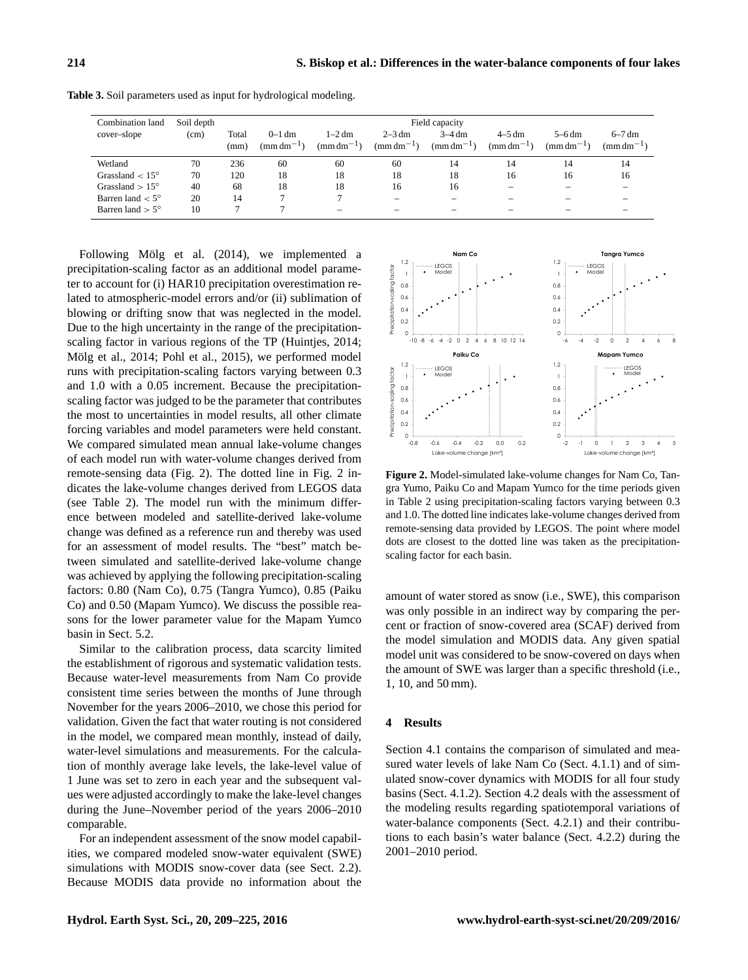| Combination land          | Soil depth | Field capacity |                                            |                                           |                                           |                                           |                                           |                                           |                                           |  |
|---------------------------|------------|----------------|--------------------------------------------|-------------------------------------------|-------------------------------------------|-------------------------------------------|-------------------------------------------|-------------------------------------------|-------------------------------------------|--|
| cover-slope               | (cm)       | Total<br>(mm)  | $0-1$ dm<br>$\text{mmm}\,\text{dm}^{-1}$ ) | $1-2$ dm<br>$\text{mm}\,\text{dm}^{-1}$ ) | $2-3$ dm<br>$\text{mm}\,\text{dm}^{-1}$ ) | $3-4$ dm<br>$\text{mm}\,\text{dm}^{-1}$ ) | $4-5$ dm<br>$\text{mm}\,\text{dm}^{-1}$ ) | $5-6$ dm<br>$\text{mm}\,\text{dm}^{-1}$ ) | $6-7$ dm<br>$\text{mm}\,\text{dm}^{-1}$ ) |  |
|                           |            |                |                                            |                                           |                                           |                                           |                                           |                                           |                                           |  |
| Wetland                   | 70         | 236            | 60                                         | 60                                        | 60                                        | 14                                        | 14                                        | 14                                        | 14                                        |  |
| Grassland $< 15^{\circ}$  | 70         | 120            | 18                                         | 18                                        | 18                                        | 18                                        | 16                                        | 16                                        | 16                                        |  |
| Grassland $>15^{\circ}$   | 40         | 68             | 18                                         | 18                                        | 16                                        | 16                                        |                                           |                                           |                                           |  |
| Barren land $< 5^{\circ}$ | 20         | 14             |                                            |                                           |                                           |                                           |                                           |                                           |                                           |  |
| Barren land $> 5^{\circ}$ | 10         |                |                                            | -                                         | -                                         | —                                         |                                           |                                           |                                           |  |

**Table 3.** Soil parameters used as input for hydrological modeling.

Following Mölg et al. (2014), we implemented a precipitation-scaling factor as an additional model parameter to account for (i) HAR10 precipitation overestimation related to atmospheric-model errors and/or (ii) sublimation of blowing or drifting snow that was neglected in the model. Due to the high uncertainty in the range of the precipitationscaling factor in various regions of the TP (Huintjes, 2014; Mölg et al., 2014; Pohl et al., 2015), we performed model runs with precipitation-scaling factors varying between 0.3 and 1.0 with a 0.05 increment. Because the precipitationscaling factor was judged to be the parameter that contributes the most to uncertainties in model results, all other climate forcing variables and model parameters were held constant. We compared simulated mean annual lake-volume changes of each model run with water-volume changes derived from remote-sensing data (Fig. 2). The dotted line in Fig. 2 indicates the lake-volume changes derived from LEGOS data (see Table 2). The model run with the minimum difference between modeled and satellite-derived lake-volume change was defined as a reference run and thereby was used for an assessment of model results. The "best" match between simulated and satellite-derived lake-volume change was achieved by applying the following precipitation-scaling factors: 0.80 (Nam Co), 0.75 (Tangra Yumco), 0.85 (Paiku Co) and 0.50 (Mapam Yumco). We discuss the possible reasons for the lower parameter value for the Mapam Yumco basin in Sect. 5.2.

Similar to the calibration process, data scarcity limited the establishment of rigorous and systematic validation tests. Because water-level measurements from Nam Co provide consistent time series between the months of June through November for the years 2006–2010, we chose this period for validation. Given the fact that water routing is not considered in the model, we compared mean monthly, instead of daily, water-level simulations and measurements. For the calculation of monthly average lake levels, the lake-level value of 1 June was set to zero in each year and the subsequent values were adjusted accordingly to make the lake-level changes during the June–November period of the years 2006–2010 comparable.

For an independent assessment of the snow model capabilities, we compared modeled snow-water equivalent (SWE) simulations with MODIS snow-cover data (see Sect. 2.2). Because MODIS data provide no information about the



**Figure 2.** Model-simulated lake-volume changes for Nam Co, Tangra Yumo, Paiku Co and Mapam Yumco for the time periods given in Table 2 using precipitation-scaling factors varying between 0.3 and 1.0. The dotted line indicates lake-volume changes derived from remote-sensing data provided by LEGOS. The point where model dots are closest to the dotted line was taken as the precipitationscaling factor for each basin.

amount of water stored as snow (i.e., SWE), this comparison was only possible in an indirect way by comparing the percent or fraction of snow-covered area (SCAF) derived from the model simulation and MODIS data. Any given spatial model unit was considered to be snow-covered on days when the amount of SWE was larger than a specific threshold (i.e., 1, 10, and 50 mm).

#### **4 Results**

Section 4.1 contains the comparison of simulated and measured water levels of lake Nam Co (Sect. 4.1.1) and of simulated snow-cover dynamics with MODIS for all four study basins (Sect. 4.1.2). Section 4.2 deals with the assessment of the modeling results regarding spatiotemporal variations of water-balance components (Sect. 4.2.1) and their contributions to each basin's water balance (Sect. 4.2.2) during the 2001–2010 period.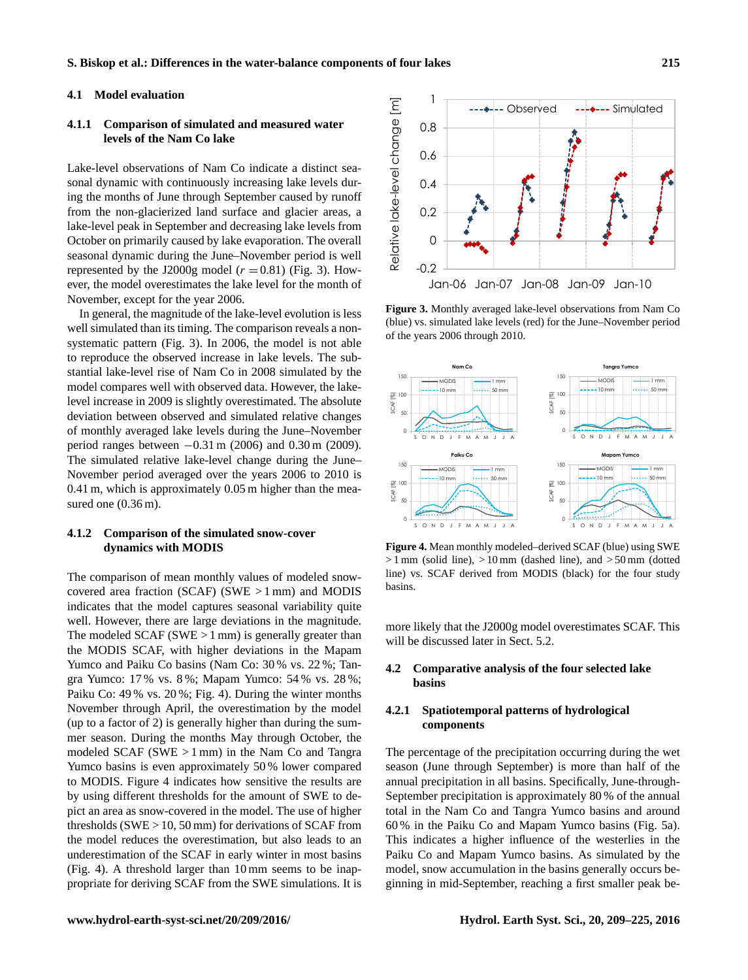#### **4.1 Model evaluation**

# **4.1.1 Comparison of simulated and measured water levels of the Nam Co lake**

Lake-level observations of Nam Co indicate a distinct seasonal dynamic with continuously increasing lake levels during the months of June through September caused by runoff from the non-glacierized land surface and glacier areas, a lake-level peak in September and decreasing lake levels from October on primarily caused by lake evaporation. The overall seasonal dynamic during the June–November period is well represented by the J2000g model  $(r = 0.81)$  (Fig. 3). However, the model overestimates the lake level for the month of November, except for the year 2006.

In general, the magnitude of the lake-level evolution is less well simulated than its timing. The comparison reveals a nonsystematic pattern (Fig. 3). In 2006, the model is not able to reproduce the observed increase in lake levels. The substantial lake-level rise of Nam Co in 2008 simulated by the model compares well with observed data. However, the lakelevel increase in 2009 is slightly overestimated. The absolute deviation between observed and simulated relative changes of monthly averaged lake levels during the June–November period ranges between −0.31 m (2006) and 0.30 m (2009). The simulated relative lake-level change during the June– November period averaged over the years 2006 to 2010 is 0.41 m, which is approximately 0.05 m higher than the measured one (0.36 m).

# **4.1.2 Comparison of the simulated snow-cover dynamics with MODIS**

The comparison of mean monthly values of modeled snowcovered area fraction (SCAF) (SWE  $>1$  mm) and MODIS indicates that the model captures seasonal variability quite well. However, there are large deviations in the magnitude. The modeled  $SCAF$  ( $SWE > 1$  mm) is generally greater than the MODIS SCAF, with higher deviations in the Mapam Yumco and Paiku Co basins (Nam Co: 30 % vs. 22 %; Tangra Yumco: 17 % vs. 8 %; Mapam Yumco: 54 % vs. 28 %; Paiku Co: 49 % vs. 20 %; Fig. 4). During the winter months November through April, the overestimation by the model (up to a factor of 2) is generally higher than during the summer season. During the months May through October, the modeled  $SCAF$  (SWE  $> 1$  mm) in the Nam Co and Tangra Yumco basins is even approximately 50 % lower compared to MODIS. Figure 4 indicates how sensitive the results are by using different thresholds for the amount of SWE to depict an area as snow-covered in the model. The use of higher thresholds ( $SWE > 10$ , 50 mm) for derivations of SCAF from the model reduces the overestimation, but also leads to an underestimation of the SCAF in early winter in most basins (Fig. 4). A threshold larger than 10 mm seems to be inappropriate for deriving SCAF from the SWE simulations. It is



**Figure 3.** Monthly averaged lake-level observations from Nam Co (blue) vs. simulated lake levels (red) for the June–November period of the years 2006 through 2010.



**Figure 4.** Mean monthly modeled–derived SCAF (blue) using SWE  $> 1$  mm (solid line),  $> 10$  mm (dashed line), and  $> 50$  mm (dotted line) vs. SCAF derived from MODIS (black) for the four study basins.

more likely that the J2000g model overestimates SCAF. This will be discussed later in Sect. 5.2.

# **4.2 Comparative analysis of the four selected lake basins**

# **4.2.1 Spatiotemporal patterns of hydrological components**

The percentage of the precipitation occurring during the wet season (June through September) is more than half of the annual precipitation in all basins. Specifically, June-through-September precipitation is approximately 80 % of the annual total in the Nam Co and Tangra Yumco basins and around 60 % in the Paiku Co and Mapam Yumco basins (Fig. 5a). This indicates a higher influence of the westerlies in the Paiku Co and Mapam Yumco basins. As simulated by the model, snow accumulation in the basins generally occurs beginning in mid-September, reaching a first smaller peak be-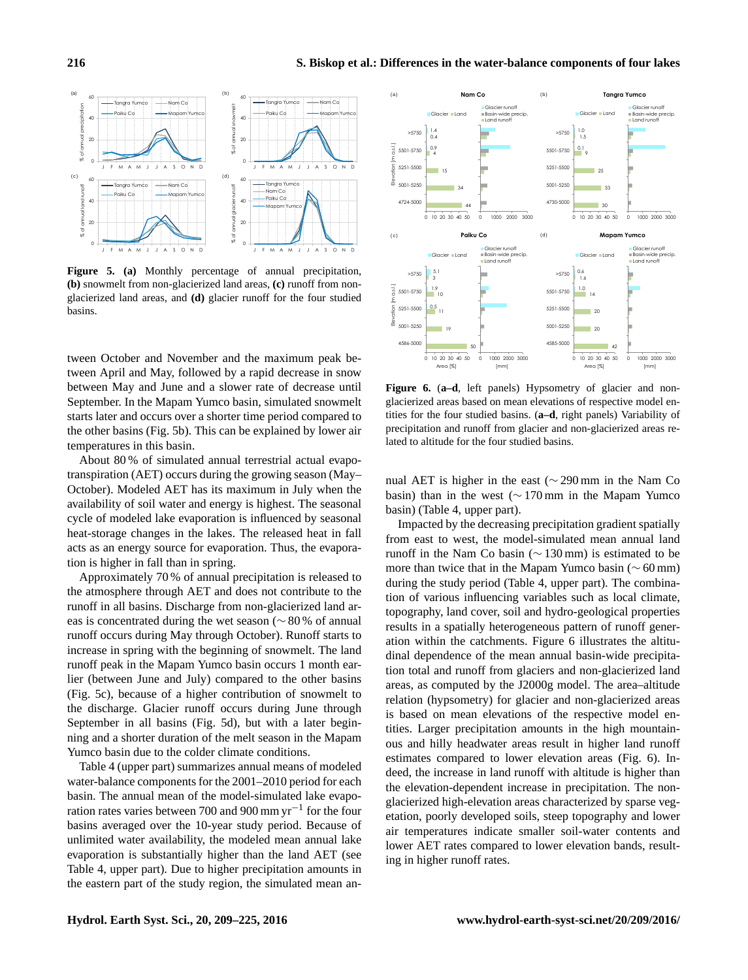

**Figure 5. (a)** Monthly percentage of annual precipitation, **(b)** snowmelt from non-glacierized land areas, **(c)** runoff from nonglacierized land areas, and **(d)** glacier runoff for the four studied basins.

tween October and November and the maximum peak between April and May, followed by a rapid decrease in snow between May and June and a slower rate of decrease until September. In the Mapam Yumco basin, simulated snowmelt starts later and occurs over a shorter time period compared to the other basins (Fig. 5b). This can be explained by lower air temperatures in this basin.

About 80 % of simulated annual terrestrial actual evapotranspiration (AET) occurs during the growing season (May– October). Modeled AET has its maximum in July when the availability of soil water and energy is highest. The seasonal cycle of modeled lake evaporation is influenced by seasonal heat-storage changes in the lakes. The released heat in fall acts as an energy source for evaporation. Thus, the evaporation is higher in fall than in spring.

Approximately 70 % of annual precipitation is released to the atmosphere through AET and does not contribute to the runoff in all basins. Discharge from non-glacierized land areas is concentrated during the wet season (∼ 80 % of annual runoff occurs during May through October). Runoff starts to increase in spring with the beginning of snowmelt. The land runoff peak in the Mapam Yumco basin occurs 1 month earlier (between June and July) compared to the other basins (Fig. 5c), because of a higher contribution of snowmelt to the discharge. Glacier runoff occurs during June through September in all basins (Fig. 5d), but with a later beginning and a shorter duration of the melt season in the Mapam Yumco basin due to the colder climate conditions.

Table 4 (upper part) summarizes annual means of modeled water-balance components for the 2001–2010 period for each basin. The annual mean of the model-simulated lake evaporation rates varies between 700 and 900 mm yr−<sup>1</sup> for the four basins averaged over the 10-year study period. Because of unlimited water availability, the modeled mean annual lake evaporation is substantially higher than the land AET (see Table 4, upper part). Due to higher precipitation amounts in the eastern part of the study region, the simulated mean an-



**Figure 6.** (**a–d**, left panels) Hypsometry of glacier and nonglacierized areas based on mean elevations of respective model entities for the four studied basins. (**a–d**, right panels) Variability of precipitation and runoff from glacier and non-glacierized areas related to altitude for the four studied basins.

nual AET is higher in the east (∼ 290 mm in the Nam Co basin) than in the west (∼ 170 mm in the Mapam Yumco basin) (Table 4, upper part).

Impacted by the decreasing precipitation gradient spatially from east to west, the model-simulated mean annual land runoff in the Nam Co basin (∼ 130 mm) is estimated to be more than twice that in the Mapam Yumco basin (∼ 60 mm) during the study period (Table 4, upper part). The combination of various influencing variables such as local climate, topography, land cover, soil and hydro-geological properties results in a spatially heterogeneous pattern of runoff generation within the catchments. Figure 6 illustrates the altitudinal dependence of the mean annual basin-wide precipitation total and runoff from glaciers and non-glacierized land areas, as computed by the J2000g model. The area–altitude relation (hypsometry) for glacier and non-glacierized areas is based on mean elevations of the respective model entities. Larger precipitation amounts in the high mountainous and hilly headwater areas result in higher land runoff estimates compared to lower elevation areas (Fig. 6). Indeed, the increase in land runoff with altitude is higher than the elevation-dependent increase in precipitation. The nonglacierized high-elevation areas characterized by sparse vegetation, poorly developed soils, steep topography and lower air temperatures indicate smaller soil-water contents and lower AET rates compared to lower elevation bands, resulting in higher runoff rates.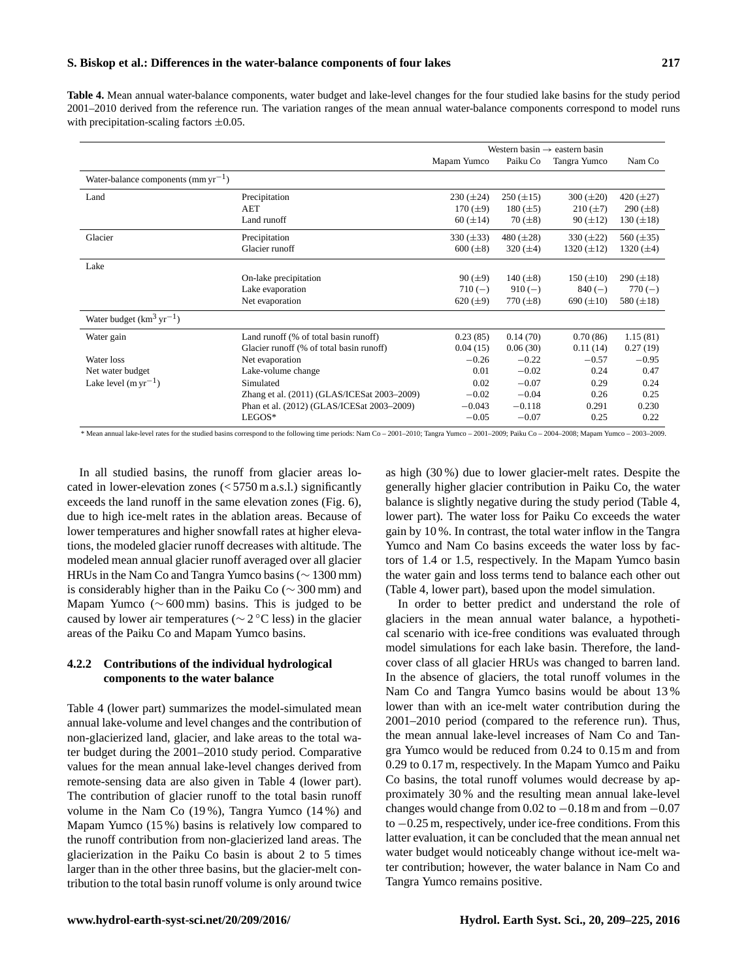**Table 4.** Mean annual water-balance components, water budget and lake-level changes for the four studied lake basins for the study period 2001–2010 derived from the reference run. The variation ranges of the mean annual water-balance components correspond to model runs with precipitation-scaling factors  $\pm 0.05$ .

|                                         |                                              | Western basin $\rightarrow$ eastern basin |                |                 |                |  |
|-----------------------------------------|----------------------------------------------|-------------------------------------------|----------------|-----------------|----------------|--|
|                                         |                                              | Mapam Yumco                               | Paiku Co       | Tangra Yumco    | Nam Co         |  |
| Water-balance components $(mm yr^{-1})$ |                                              |                                           |                |                 |                |  |
| Land                                    | Precipitation                                | $230 (\pm 24)$                            | $250 (\pm 15)$ | $300 (\pm 20)$  | 420 $(\pm 27)$ |  |
|                                         | <b>AET</b>                                   | 170 $(\pm 9)$                             | $180 (\pm 5)$  | $210 (\pm 7)$   | $290 (\pm 8)$  |  |
|                                         | Land runoff                                  | $60 (\pm 14)$                             | $70 (\pm 8)$   | $90 (\pm 12)$   | $130 (\pm 18)$ |  |
| Glacier                                 | Precipitation                                | 330 $(\pm 33)$                            | 480 $(\pm 28)$ | 330 $(\pm 22)$  | 560 $(\pm 35)$ |  |
|                                         | Glacier runoff                               | $600 (\pm 8)$                             | 320 $(\pm 4)$  | 1320 $(\pm 12)$ | 1320 $(\pm 4)$ |  |
| Lake                                    |                                              |                                           |                |                 |                |  |
|                                         | On-lake precipitation                        | $90 (\pm 9)$                              | 140 $(\pm 8)$  | $150 (\pm 10)$  | $290 (\pm 18)$ |  |
|                                         | Lake evaporation                             | $710(-)$                                  | $910(-)$       | $840(-)$        | $770(-)$       |  |
|                                         | Net evaporation                              | 620 $(\pm 9)$                             | 770 $(\pm 8)$  | 690 $(\pm 10)$  | 580 $(\pm 18)$ |  |
| Water budget $(km3 yr-1)$               |                                              |                                           |                |                 |                |  |
| Water gain                              | Land runoff (% of total basin runoff)        | 0.23(85)                                  | 0.14(70)       | 0.70(86)        | 1.15(81)       |  |
|                                         | Glacier runoff (% of total basin runoff)     | 0.04(15)                                  | 0.06(30)       | 0.11(14)        | 0.27(19)       |  |
| Water loss                              | Net evaporation                              | $-0.26$                                   | $-0.22$        | $-0.57$         | $-0.95$        |  |
| Net water budget                        | Lake-volume change                           | 0.01                                      | $-0.02$        | 0.24            | 0.47           |  |
| Lake level $(myr^{-1})$                 | Simulated                                    | 0.02                                      | $-0.07$        | 0.29            | 0.24           |  |
|                                         | Zhang et al. (2011) (GLAS/ICES at 2003-2009) | $-0.02$                                   | $-0.04$        | 0.26            | 0.25           |  |
|                                         | Phan et al. (2012) (GLAS/ICESat 2003-2009)   | $-0.043$                                  | $-0.118$       | 0.291           | 0.230          |  |
|                                         | $LEGOS*$                                     | $-0.05$                                   | $-0.07$        | 0.25            | 0.22           |  |

\* Mean annual lake-level rates for the studied basins correspond to the following time periods: Nam Co – 2001–2010; Tangra Yumco – 2001–2009; Paiku Co – 2004–2008; Mapam Yumco – 2003–2009.

In all studied basins, the runoff from glacier areas located in lower-elevation zones (< 5750 m a.s.l.) significantly exceeds the land runoff in the same elevation zones (Fig. 6), due to high ice-melt rates in the ablation areas. Because of lower temperatures and higher snowfall rates at higher elevations, the modeled glacier runoff decreases with altitude. The modeled mean annual glacier runoff averaged over all glacier HRUs in the Nam Co and Tangra Yumco basins (∼ 1300 mm) is considerably higher than in the Paiku Co (∼ 300 mm) and Mapam Yumco ( $\sim 600 \text{ mm}$ ) basins. This is judged to be caused by lower air temperatures ( $\sim$  2 °C less) in the glacier areas of the Paiku Co and Mapam Yumco basins.

# **4.2.2 Contributions of the individual hydrological components to the water balance**

Table 4 (lower part) summarizes the model-simulated mean annual lake-volume and level changes and the contribution of non-glacierized land, glacier, and lake areas to the total water budget during the 2001–2010 study period. Comparative values for the mean annual lake-level changes derived from remote-sensing data are also given in Table 4 (lower part). The contribution of glacier runoff to the total basin runoff volume in the Nam Co (19 %), Tangra Yumco (14 %) and Mapam Yumco (15 %) basins is relatively low compared to the runoff contribution from non-glacierized land areas. The glacierization in the Paiku Co basin is about 2 to 5 times larger than in the other three basins, but the glacier-melt contribution to the total basin runoff volume is only around twice as high (30 %) due to lower glacier-melt rates. Despite the generally higher glacier contribution in Paiku Co, the water balance is slightly negative during the study period (Table 4, lower part). The water loss for Paiku Co exceeds the water gain by 10 %. In contrast, the total water inflow in the Tangra Yumco and Nam Co basins exceeds the water loss by factors of 1.4 or 1.5, respectively. In the Mapam Yumco basin the water gain and loss terms tend to balance each other out (Table 4, lower part), based upon the model simulation.

In order to better predict and understand the role of glaciers in the mean annual water balance, a hypothetical scenario with ice-free conditions was evaluated through model simulations for each lake basin. Therefore, the landcover class of all glacier HRUs was changed to barren land. In the absence of glaciers, the total runoff volumes in the Nam Co and Tangra Yumco basins would be about 13 % lower than with an ice-melt water contribution during the 2001–2010 period (compared to the reference run). Thus, the mean annual lake-level increases of Nam Co and Tangra Yumco would be reduced from 0.24 to 0.15 m and from 0.29 to 0.17 m, respectively. In the Mapam Yumco and Paiku Co basins, the total runoff volumes would decrease by approximately 30 % and the resulting mean annual lake-level changes would change from  $0.02$  to  $-0.18$  m and from  $-0.07$ to −0.25 m, respectively, under ice-free conditions. From this latter evaluation, it can be concluded that the mean annual net water budget would noticeably change without ice-melt water contribution; however, the water balance in Nam Co and Tangra Yumco remains positive.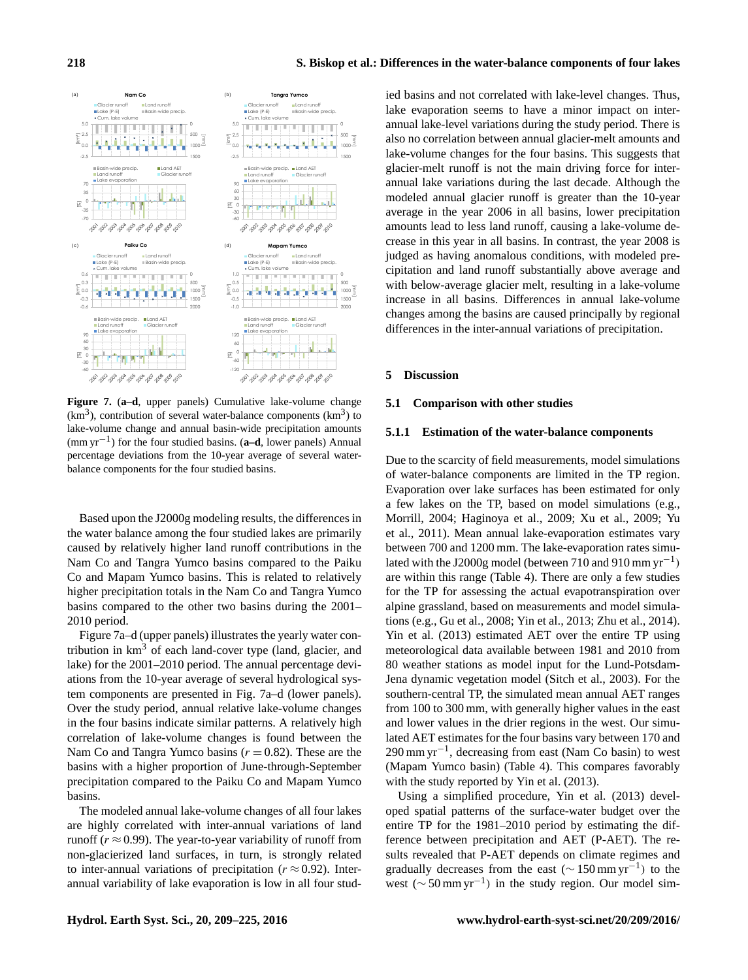

**Figure 7.** (**a–d**, upper panels) Cumulative lake-volume change  $(km<sup>3</sup>)$ , contribution of several water-balance components  $(km<sup>3</sup>)$  to lake-volume change and annual basin-wide precipitation amounts (mm yr−<sup>1</sup> ) for the four studied basins. (**a–d**, lower panels) Annual percentage deviations from the 10-year average of several waterbalance components for the four studied basins.

Based upon the J2000g modeling results, the differences in the water balance among the four studied lakes are primarily caused by relatively higher land runoff contributions in the Nam Co and Tangra Yumco basins compared to the Paiku Co and Mapam Yumco basins. This is related to relatively higher precipitation totals in the Nam Co and Tangra Yumco basins compared to the other two basins during the 2001– 2010 period.

Figure 7a–d (upper panels) illustrates the yearly water contribution in  $km<sup>3</sup>$  of each land-cover type (land, glacier, and lake) for the 2001–2010 period. The annual percentage deviations from the 10-year average of several hydrological system components are presented in Fig. 7a–d (lower panels). Over the study period, annual relative lake-volume changes in the four basins indicate similar patterns. A relatively high correlation of lake-volume changes is found between the Nam Co and Tangra Yumco basins  $(r = 0.82)$ . These are the basins with a higher proportion of June-through-September precipitation compared to the Paiku Co and Mapam Yumco basins.

The modeled annual lake-volume changes of all four lakes are highly correlated with inter-annual variations of land runoff ( $r \approx 0.99$ ). The year-to-year variability of runoff from non-glacierized land surfaces, in turn, is strongly related to inter-annual variations of precipitation ( $r \approx 0.92$ ). Interannual variability of lake evaporation is low in all four studied basins and not correlated with lake-level changes. Thus, lake evaporation seems to have a minor impact on interannual lake-level variations during the study period. There is also no correlation between annual glacier-melt amounts and lake-volume changes for the four basins. This suggests that glacier-melt runoff is not the main driving force for interannual lake variations during the last decade. Although the modeled annual glacier runoff is greater than the 10-year average in the year 2006 in all basins, lower precipitation amounts lead to less land runoff, causing a lake-volume decrease in this year in all basins. In contrast, the year 2008 is judged as having anomalous conditions, with modeled precipitation and land runoff substantially above average and with below-average glacier melt, resulting in a lake-volume increase in all basins. Differences in annual lake-volume changes among the basins are caused principally by regional differences in the inter-annual variations of precipitation.

## **5 Discussion**

# **5.1 Comparison with other studies**

#### **5.1.1 Estimation of the water-balance components**

Due to the scarcity of field measurements, model simulations of water-balance components are limited in the TP region. Evaporation over lake surfaces has been estimated for only a few lakes on the TP, based on model simulations (e.g., Morrill, 2004; Haginoya et al., 2009; Xu et al., 2009; Yu et al., 2011). Mean annual lake-evaporation estimates vary between 700 and 1200 mm. The lake-evaporation rates simulated with the J2000g model (between 710 and 910 mm yr<sup>-1</sup>) are within this range (Table 4). There are only a few studies for the TP for assessing the actual evapotranspiration over alpine grassland, based on measurements and model simulations (e.g., Gu et al., 2008; Yin et al., 2013; Zhu et al., 2014). Yin et al. (2013) estimated AET over the entire TP using meteorological data available between 1981 and 2010 from 80 weather stations as model input for the Lund-Potsdam-Jena dynamic vegetation model (Sitch et al., 2003). For the southern-central TP, the simulated mean annual AET ranges from 100 to 300 mm, with generally higher values in the east and lower values in the drier regions in the west. Our simulated AET estimates for the four basins vary between 170 and 290 mm yr<sup>-1</sup>, decreasing from east (Nam Co basin) to west (Mapam Yumco basin) (Table 4). This compares favorably with the study reported by Yin et al. (2013).

Using a simplified procedure, Yin et al. (2013) developed spatial patterns of the surface-water budget over the entire TP for the 1981–2010 period by estimating the difference between precipitation and AET (P-AET). The results revealed that P-AET depends on climate regimes and gradually decreases from the east  $({\sim}\,150\,\mathrm{mm}\,\mathrm{yr}^{-1})$  to the west ( $\sim$  50 mm yr<sup>-1</sup>) in the study region. Our model sim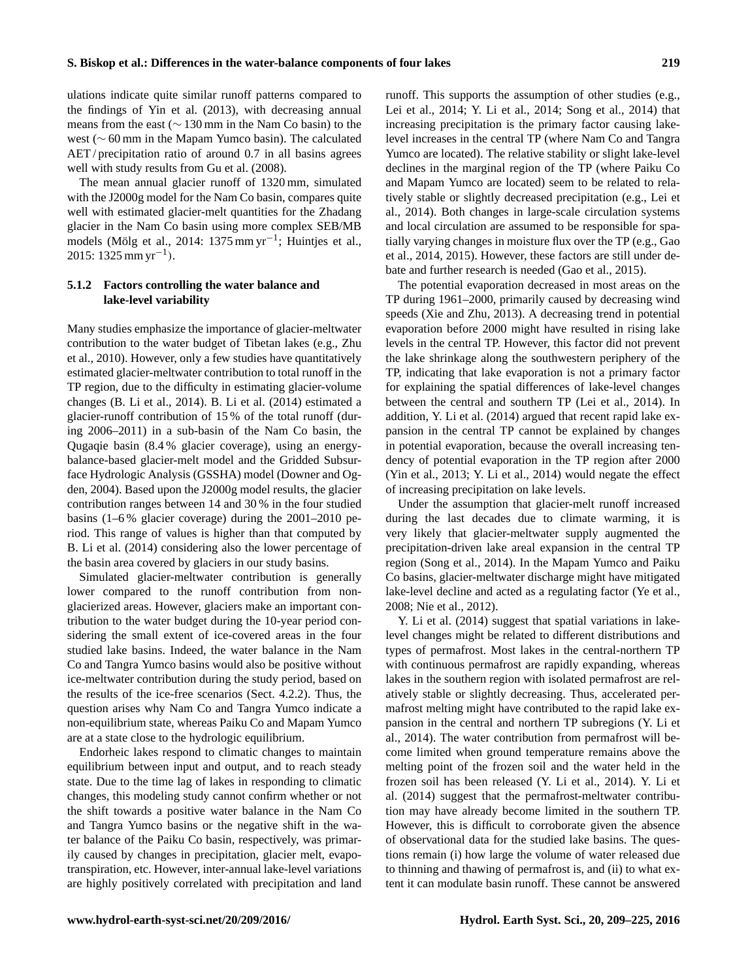ulations indicate quite similar runoff patterns compared to the findings of Yin et al. (2013), with decreasing annual means from the east ( $\sim$  130 mm in the Nam Co basin) to the west (∼ 60 mm in the Mapam Yumco basin). The calculated AET / precipitation ratio of around 0.7 in all basins agrees well with study results from Gu et al. (2008).

The mean annual glacier runoff of 1320 mm, simulated with the J2000g model for the Nam Co basin, compares quite well with estimated glacier-melt quantities for the Zhadang glacier in the Nam Co basin using more complex SEB/MB models (Mölg et al., 2014: 1375 mm yr−<sup>1</sup> ; Huintjes et al., 2015: 1325 mm yr−<sup>1</sup> ).

# **5.1.2 Factors controlling the water balance and lake-level variability**

Many studies emphasize the importance of glacier-meltwater contribution to the water budget of Tibetan lakes (e.g., Zhu et al., 2010). However, only a few studies have quantitatively estimated glacier-meltwater contribution to total runoff in the TP region, due to the difficulty in estimating glacier-volume changes (B. Li et al., 2014). B. Li et al. (2014) estimated a glacier-runoff contribution of 15 % of the total runoff (during 2006–2011) in a sub-basin of the Nam Co basin, the Qugaqie basin (8.4 % glacier coverage), using an energybalance-based glacier-melt model and the Gridded Subsurface Hydrologic Analysis (GSSHA) model (Downer and Ogden, 2004). Based upon the J2000g model results, the glacier contribution ranges between 14 and 30 % in the four studied basins (1–6 % glacier coverage) during the 2001–2010 period. This range of values is higher than that computed by B. Li et al. (2014) considering also the lower percentage of the basin area covered by glaciers in our study basins.

Simulated glacier-meltwater contribution is generally lower compared to the runoff contribution from nonglacierized areas. However, glaciers make an important contribution to the water budget during the 10-year period considering the small extent of ice-covered areas in the four studied lake basins. Indeed, the water balance in the Nam Co and Tangra Yumco basins would also be positive without ice-meltwater contribution during the study period, based on the results of the ice-free scenarios (Sect. 4.2.2). Thus, the question arises why Nam Co and Tangra Yumco indicate a non-equilibrium state, whereas Paiku Co and Mapam Yumco are at a state close to the hydrologic equilibrium.

Endorheic lakes respond to climatic changes to maintain equilibrium between input and output, and to reach steady state. Due to the time lag of lakes in responding to climatic changes, this modeling study cannot confirm whether or not the shift towards a positive water balance in the Nam Co and Tangra Yumco basins or the negative shift in the water balance of the Paiku Co basin, respectively, was primarily caused by changes in precipitation, glacier melt, evapotranspiration, etc. However, inter-annual lake-level variations are highly positively correlated with precipitation and land runoff. This supports the assumption of other studies (e.g., Lei et al., 2014; Y. Li et al., 2014; Song et al., 2014) that increasing precipitation is the primary factor causing lakelevel increases in the central TP (where Nam Co and Tangra Yumco are located). The relative stability or slight lake-level declines in the marginal region of the TP (where Paiku Co and Mapam Yumco are located) seem to be related to relatively stable or slightly decreased precipitation (e.g., Lei et al., 2014). Both changes in large-scale circulation systems and local circulation are assumed to be responsible for spatially varying changes in moisture flux over the TP (e.g., Gao et al., 2014, 2015). However, these factors are still under debate and further research is needed (Gao et al., 2015).

The potential evaporation decreased in most areas on the TP during 1961–2000, primarily caused by decreasing wind speeds (Xie and Zhu, 2013). A decreasing trend in potential evaporation before 2000 might have resulted in rising lake levels in the central TP. However, this factor did not prevent the lake shrinkage along the southwestern periphery of the TP, indicating that lake evaporation is not a primary factor for explaining the spatial differences of lake-level changes between the central and southern TP (Lei et al., 2014). In addition, Y. Li et al. (2014) argued that recent rapid lake expansion in the central TP cannot be explained by changes in potential evaporation, because the overall increasing tendency of potential evaporation in the TP region after 2000 (Yin et al., 2013; Y. Li et al., 2014) would negate the effect of increasing precipitation on lake levels.

Under the assumption that glacier-melt runoff increased during the last decades due to climate warming, it is very likely that glacier-meltwater supply augmented the precipitation-driven lake areal expansion in the central TP region (Song et al., 2014). In the Mapam Yumco and Paiku Co basins, glacier-meltwater discharge might have mitigated lake-level decline and acted as a regulating factor (Ye et al., 2008; Nie et al., 2012).

Y. Li et al. (2014) suggest that spatial variations in lakelevel changes might be related to different distributions and types of permafrost. Most lakes in the central-northern TP with continuous permafrost are rapidly expanding, whereas lakes in the southern region with isolated permafrost are relatively stable or slightly decreasing. Thus, accelerated permafrost melting might have contributed to the rapid lake expansion in the central and northern TP subregions (Y. Li et al., 2014). The water contribution from permafrost will become limited when ground temperature remains above the melting point of the frozen soil and the water held in the frozen soil has been released (Y. Li et al., 2014). Y. Li et al. (2014) suggest that the permafrost-meltwater contribution may have already become limited in the southern TP. However, this is difficult to corroborate given the absence of observational data for the studied lake basins. The questions remain (i) how large the volume of water released due to thinning and thawing of permafrost is, and (ii) to what extent it can modulate basin runoff. These cannot be answered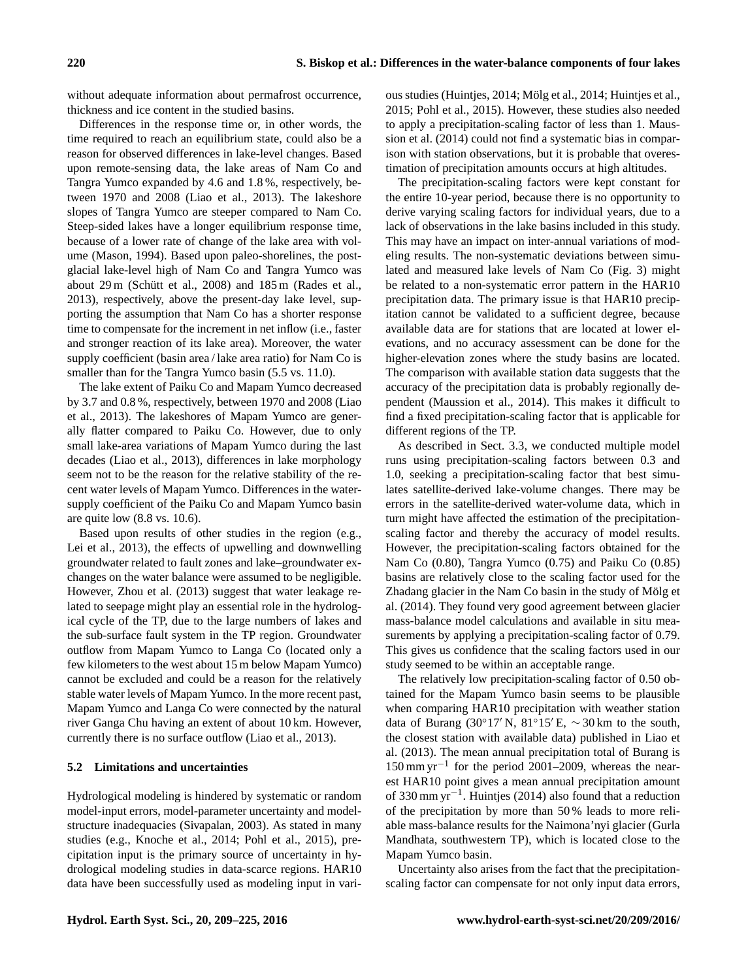without adequate information about permafrost occurrence, thickness and ice content in the studied basins.

Differences in the response time or, in other words, the time required to reach an equilibrium state, could also be a reason for observed differences in lake-level changes. Based upon remote-sensing data, the lake areas of Nam Co and Tangra Yumco expanded by 4.6 and 1.8 %, respectively, between 1970 and 2008 (Liao et al., 2013). The lakeshore slopes of Tangra Yumco are steeper compared to Nam Co. Steep-sided lakes have a longer equilibrium response time, because of a lower rate of change of the lake area with volume (Mason, 1994). Based upon paleo-shorelines, the postglacial lake-level high of Nam Co and Tangra Yumco was about 29 m (Schütt et al., 2008) and 185 m (Rades et al., 2013), respectively, above the present-day lake level, supporting the assumption that Nam Co has a shorter response time to compensate for the increment in net inflow (i.e., faster and stronger reaction of its lake area). Moreover, the water supply coefficient (basin area / lake area ratio) for Nam Co is smaller than for the Tangra Yumco basin (5.5 vs. 11.0).

The lake extent of Paiku Co and Mapam Yumco decreased by 3.7 and 0.8 %, respectively, between 1970 and 2008 (Liao et al., 2013). The lakeshores of Mapam Yumco are generally flatter compared to Paiku Co. However, due to only small lake-area variations of Mapam Yumco during the last decades (Liao et al., 2013), differences in lake morphology seem not to be the reason for the relative stability of the recent water levels of Mapam Yumco. Differences in the watersupply coefficient of the Paiku Co and Mapam Yumco basin are quite low (8.8 vs. 10.6).

Based upon results of other studies in the region (e.g., Lei et al., 2013), the effects of upwelling and downwelling groundwater related to fault zones and lake–groundwater exchanges on the water balance were assumed to be negligible. However, Zhou et al. (2013) suggest that water leakage related to seepage might play an essential role in the hydrological cycle of the TP, due to the large numbers of lakes and the sub-surface fault system in the TP region. Groundwater outflow from Mapam Yumco to Langa Co (located only a few kilometers to the west about 15 m below Mapam Yumco) cannot be excluded and could be a reason for the relatively stable water levels of Mapam Yumco. In the more recent past, Mapam Yumco and Langa Co were connected by the natural river Ganga Chu having an extent of about 10 km. However, currently there is no surface outflow (Liao et al., 2013).

#### **5.2 Limitations and uncertainties**

Hydrological modeling is hindered by systematic or random model-input errors, model-parameter uncertainty and modelstructure inadequacies (Sivapalan, 2003). As stated in many studies (e.g., Knoche et al., 2014; Pohl et al., 2015), precipitation input is the primary source of uncertainty in hydrological modeling studies in data-scarce regions. HAR10 data have been successfully used as modeling input in various studies (Huintjes, 2014; Mölg et al., 2014; Huintjes et al., 2015; Pohl et al., 2015). However, these studies also needed to apply a precipitation-scaling factor of less than 1. Maussion et al. (2014) could not find a systematic bias in comparison with station observations, but it is probable that overestimation of precipitation amounts occurs at high altitudes.

The precipitation-scaling factors were kept constant for the entire 10-year period, because there is no opportunity to derive varying scaling factors for individual years, due to a lack of observations in the lake basins included in this study. This may have an impact on inter-annual variations of modeling results. The non-systematic deviations between simulated and measured lake levels of Nam Co (Fig. 3) might be related to a non-systematic error pattern in the HAR10 precipitation data. The primary issue is that HAR10 precipitation cannot be validated to a sufficient degree, because available data are for stations that are located at lower elevations, and no accuracy assessment can be done for the higher-elevation zones where the study basins are located. The comparison with available station data suggests that the accuracy of the precipitation data is probably regionally dependent (Maussion et al., 2014). This makes it difficult to find a fixed precipitation-scaling factor that is applicable for different regions of the TP.

As described in Sect. 3.3, we conducted multiple model runs using precipitation-scaling factors between 0.3 and 1.0, seeking a precipitation-scaling factor that best simulates satellite-derived lake-volume changes. There may be errors in the satellite-derived water-volume data, which in turn might have affected the estimation of the precipitationscaling factor and thereby the accuracy of model results. However, the precipitation-scaling factors obtained for the Nam Co (0.80), Tangra Yumco (0.75) and Paiku Co (0.85) basins are relatively close to the scaling factor used for the Zhadang glacier in the Nam Co basin in the study of Mölg et al. (2014). They found very good agreement between glacier mass-balance model calculations and available in situ measurements by applying a precipitation-scaling factor of 0.79. This gives us confidence that the scaling factors used in our study seemed to be within an acceptable range.

The relatively low precipitation-scaling factor of 0.50 obtained for the Mapam Yumco basin seems to be plausible when comparing HAR10 precipitation with weather station data of Burang (30°17′ N, 81°15′ E,  $\sim$  30 km to the south, the closest station with available data) published in Liao et al. (2013). The mean annual precipitation total of Burang is 150 mm yr−<sup>1</sup> for the period 2001–2009, whereas the nearest HAR10 point gives a mean annual precipitation amount of 330 mm yr−<sup>1</sup> . Huintjes (2014) also found that a reduction of the precipitation by more than 50 % leads to more reliable mass-balance results for the Naimona'nyi glacier (Gurla Mandhata, southwestern TP), which is located close to the Mapam Yumco basin.

Uncertainty also arises from the fact that the precipitationscaling factor can compensate for not only input data errors,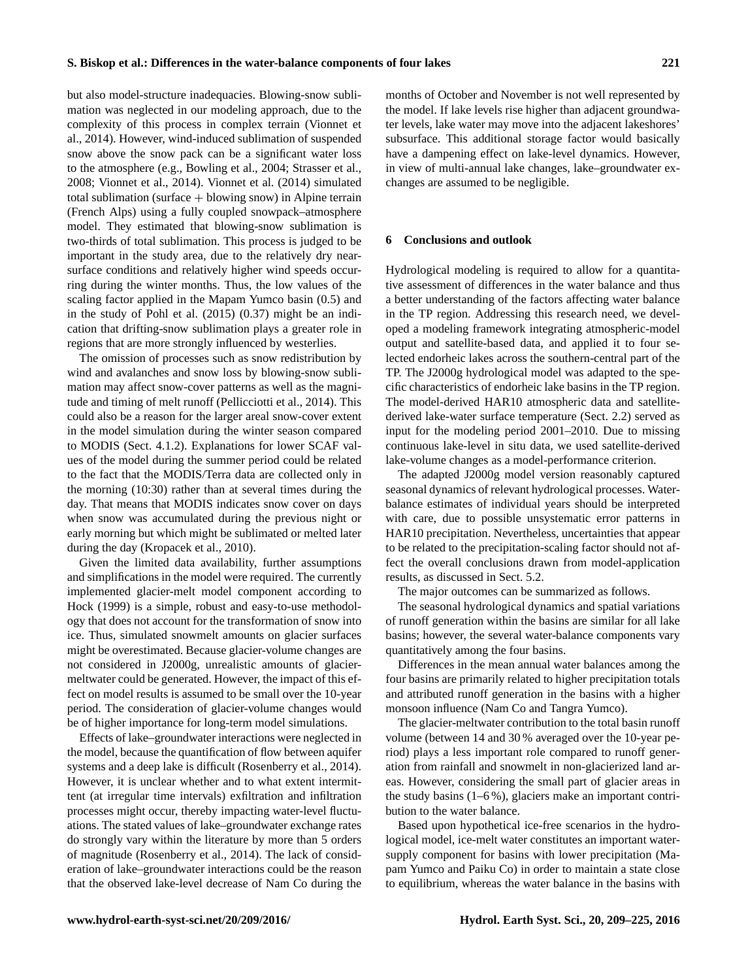but also model-structure inadequacies. Blowing-snow sublimation was neglected in our modeling approach, due to the complexity of this process in complex terrain (Vionnet et al., 2014). However, wind-induced sublimation of suspended snow above the snow pack can be a significant water loss to the atmosphere (e.g., Bowling et al., 2004; Strasser et al., 2008; Vionnet et al., 2014). Vionnet et al. (2014) simulated total sublimation (surface + blowing snow) in Alpine terrain (French Alps) using a fully coupled snowpack–atmosphere model. They estimated that blowing-snow sublimation is two-thirds of total sublimation. This process is judged to be important in the study area, due to the relatively dry nearsurface conditions and relatively higher wind speeds occurring during the winter months. Thus, the low values of the scaling factor applied in the Mapam Yumco basin (0.5) and in the study of Pohl et al. (2015) (0.37) might be an indication that drifting-snow sublimation plays a greater role in regions that are more strongly influenced by westerlies.

The omission of processes such as snow redistribution by wind and avalanches and snow loss by blowing-snow sublimation may affect snow-cover patterns as well as the magnitude and timing of melt runoff (Pellicciotti et al., 2014). This could also be a reason for the larger areal snow-cover extent in the model simulation during the winter season compared to MODIS (Sect. 4.1.2). Explanations for lower SCAF values of the model during the summer period could be related to the fact that the MODIS/Terra data are collected only in the morning (10:30) rather than at several times during the day. That means that MODIS indicates snow cover on days when snow was accumulated during the previous night or early morning but which might be sublimated or melted later during the day (Kropacek et al., 2010).

Given the limited data availability, further assumptions and simplifications in the model were required. The currently implemented glacier-melt model component according to Hock (1999) is a simple, robust and easy-to-use methodology that does not account for the transformation of snow into ice. Thus, simulated snowmelt amounts on glacier surfaces might be overestimated. Because glacier-volume changes are not considered in J2000g, unrealistic amounts of glaciermeltwater could be generated. However, the impact of this effect on model results is assumed to be small over the 10-year period. The consideration of glacier-volume changes would be of higher importance for long-term model simulations.

Effects of lake–groundwater interactions were neglected in the model, because the quantification of flow between aquifer systems and a deep lake is difficult (Rosenberry et al., 2014). However, it is unclear whether and to what extent intermittent (at irregular time intervals) exfiltration and infiltration processes might occur, thereby impacting water-level fluctuations. The stated values of lake–groundwater exchange rates do strongly vary within the literature by more than 5 orders of magnitude (Rosenberry et al., 2014). The lack of consideration of lake–groundwater interactions could be the reason that the observed lake-level decrease of Nam Co during the months of October and November is not well represented by the model. If lake levels rise higher than adjacent groundwater levels, lake water may move into the adjacent lakeshores' subsurface. This additional storage factor would basically have a dampening effect on lake-level dynamics. However, in view of multi-annual lake changes, lake–groundwater exchanges are assumed to be negligible.

#### **6 Conclusions and outlook**

Hydrological modeling is required to allow for a quantitative assessment of differences in the water balance and thus a better understanding of the factors affecting water balance in the TP region. Addressing this research need, we developed a modeling framework integrating atmospheric-model output and satellite-based data, and applied it to four selected endorheic lakes across the southern-central part of the TP. The J2000g hydrological model was adapted to the specific characteristics of endorheic lake basins in the TP region. The model-derived HAR10 atmospheric data and satellitederived lake-water surface temperature (Sect. 2.2) served as input for the modeling period 2001–2010. Due to missing continuous lake-level in situ data, we used satellite-derived lake-volume changes as a model-performance criterion.

The adapted J2000g model version reasonably captured seasonal dynamics of relevant hydrological processes. Waterbalance estimates of individual years should be interpreted with care, due to possible unsystematic error patterns in HAR10 precipitation. Nevertheless, uncertainties that appear to be related to the precipitation-scaling factor should not affect the overall conclusions drawn from model-application results, as discussed in Sect. 5.2.

The major outcomes can be summarized as follows.

The seasonal hydrological dynamics and spatial variations of runoff generation within the basins are similar for all lake basins; however, the several water-balance components vary quantitatively among the four basins.

Differences in the mean annual water balances among the four basins are primarily related to higher precipitation totals and attributed runoff generation in the basins with a higher monsoon influence (Nam Co and Tangra Yumco).

The glacier-meltwater contribution to the total basin runoff volume (between 14 and 30 % averaged over the 10-year period) plays a less important role compared to runoff generation from rainfall and snowmelt in non-glacierized land areas. However, considering the small part of glacier areas in the study basins (1–6 %), glaciers make an important contribution to the water balance.

Based upon hypothetical ice-free scenarios in the hydrological model, ice-melt water constitutes an important watersupply component for basins with lower precipitation (Mapam Yumco and Paiku Co) in order to maintain a state close to equilibrium, whereas the water balance in the basins with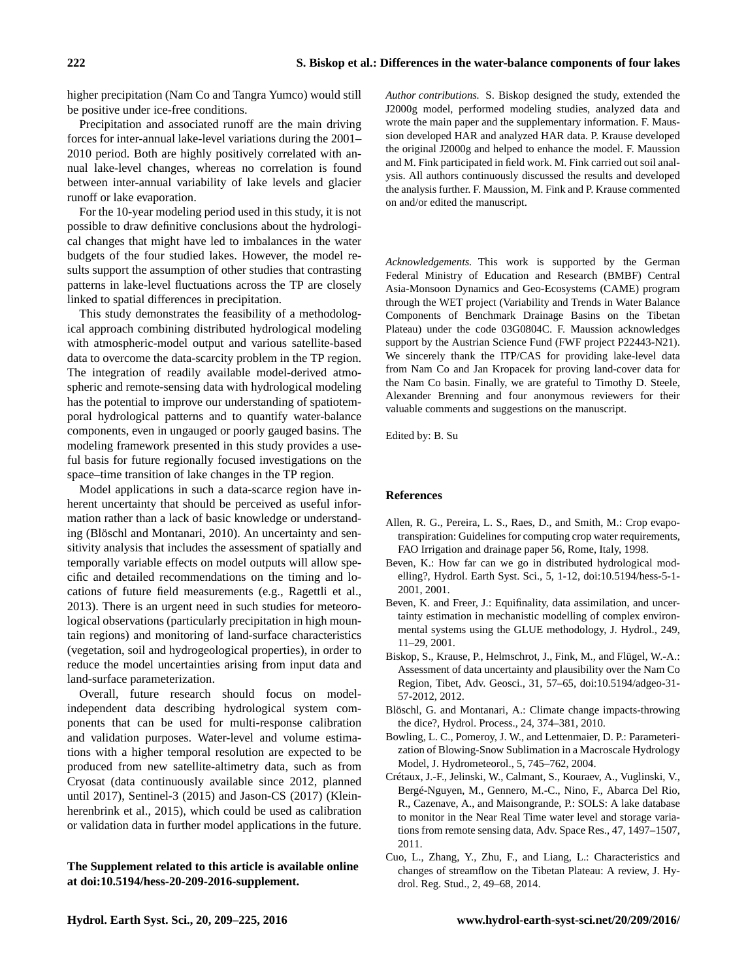higher precipitation (Nam Co and Tangra Yumco) would still be positive under ice-free conditions.

Precipitation and associated runoff are the main driving forces for inter-annual lake-level variations during the 2001– 2010 period. Both are highly positively correlated with annual lake-level changes, whereas no correlation is found between inter-annual variability of lake levels and glacier runoff or lake evaporation.

For the 10-year modeling period used in this study, it is not possible to draw definitive conclusions about the hydrological changes that might have led to imbalances in the water budgets of the four studied lakes. However, the model results support the assumption of other studies that contrasting patterns in lake-level fluctuations across the TP are closely linked to spatial differences in precipitation.

This study demonstrates the feasibility of a methodological approach combining distributed hydrological modeling with atmospheric-model output and various satellite-based data to overcome the data-scarcity problem in the TP region. The integration of readily available model-derived atmospheric and remote-sensing data with hydrological modeling has the potential to improve our understanding of spatiotemporal hydrological patterns and to quantify water-balance components, even in ungauged or poorly gauged basins. The modeling framework presented in this study provides a useful basis for future regionally focused investigations on the space–time transition of lake changes in the TP region.

Model applications in such a data-scarce region have inherent uncertainty that should be perceived as useful information rather than a lack of basic knowledge or understanding (Blöschl and Montanari, 2010). An uncertainty and sensitivity analysis that includes the assessment of spatially and temporally variable effects on model outputs will allow specific and detailed recommendations on the timing and locations of future field measurements (e.g., Ragettli et al., 2013). There is an urgent need in such studies for meteorological observations (particularly precipitation in high mountain regions) and monitoring of land-surface characteristics (vegetation, soil and hydrogeological properties), in order to reduce the model uncertainties arising from input data and land-surface parameterization.

Overall, future research should focus on modelindependent data describing hydrological system components that can be used for multi-response calibration and validation purposes. Water-level and volume estimations with a higher temporal resolution are expected to be produced from new satellite-altimetry data, such as from Cryosat (data continuously available since 2012, planned until 2017), Sentinel-3 (2015) and Jason-CS (2017) (Kleinherenbrink et al., 2015), which could be used as calibration or validation data in further model applications in the future.

**The Supplement related to this article is available online at [doi:10.5194/hess-20-209-2016-supplement.](http://dx.doi.org/10.5194/hess-20-209-2016-supplement)**

*Author contributions.* S. Biskop designed the study, extended the J2000g model, performed modeling studies, analyzed data and wrote the main paper and the supplementary information. F. Maussion developed HAR and analyzed HAR data. P. Krause developed the original J2000g and helped to enhance the model. F. Maussion and M. Fink participated in field work. M. Fink carried out soil analysis. All authors continuously discussed the results and developed the analysis further. F. Maussion, M. Fink and P. Krause commented on and/or edited the manuscript.

*Acknowledgements.* This work is supported by the German Federal Ministry of Education and Research (BMBF) Central Asia-Monsoon Dynamics and Geo-Ecosystems (CAME) program through the WET project (Variability and Trends in Water Balance Components of Benchmark Drainage Basins on the Tibetan Plateau) under the code 03G0804C. F. Maussion acknowledges support by the Austrian Science Fund (FWF project P22443-N21). We sincerely thank the ITP/CAS for providing lake-level data from Nam Co and Jan Kropacek for proving land-cover data for the Nam Co basin. Finally, we are grateful to Timothy D. Steele, Alexander Brenning and four anonymous reviewers for their valuable comments and suggestions on the manuscript.

Edited by: B. Su

## **References**

- Allen, R. G., Pereira, L. S., Raes, D., and Smith, M.: Crop evapotranspiration: Guidelines for computing crop water requirements, FAO Irrigation and drainage paper 56, Rome, Italy, 1998.
- Beven, K.: How far can we go in distributed hydrological modelling?, Hydrol. Earth Syst. Sci., 5, 1-12, doi[:10.5194/hess-5-1-](http://dx.doi.org/10.5194/hess-5-1-2001) [2001,](http://dx.doi.org/10.5194/hess-5-1-2001) 2001.
- Beven, K. and Freer, J.: Equifinality, data assimilation, and uncertainty estimation in mechanistic modelling of complex environmental systems using the GLUE methodology, J. Hydrol., 249, 11–29, 2001.
- Biskop, S., Krause, P., Helmschrot, J., Fink, M., and Flügel, W.-A.: Assessment of data uncertainty and plausibility over the Nam Co Region, Tibet, Adv. Geosci., 31, 57–65, doi[:10.5194/adgeo-31-](http://dx.doi.org/10.5194/adgeo-31-57-2012) [57-2012,](http://dx.doi.org/10.5194/adgeo-31-57-2012) 2012.
- Blöschl, G. and Montanari, A.: Climate change impacts-throwing the dice?, Hydrol. Process., 24, 374–381, 2010.
- Bowling, L. C., Pomeroy, J. W., and Lettenmaier, D. P.: Parameterization of Blowing-Snow Sublimation in a Macroscale Hydrology Model, J. Hydrometeorol., 5, 745–762, 2004.
- Crétaux, J.-F., Jelinski, W., Calmant, S., Kouraev, A., Vuglinski, V., Bergé-Nguyen, M., Gennero, M.-C., Nino, F., Abarca Del Rio, R., Cazenave, A., and Maisongrande, P.: SOLS: A lake database to monitor in the Near Real Time water level and storage variations from remote sensing data, Adv. Space Res., 47, 1497–1507, 2011.
- Cuo, L., Zhang, Y., Zhu, F., and Liang, L.: Characteristics and changes of streamflow on the Tibetan Plateau: A review, J. Hydrol. Reg. Stud., 2, 49–68, 2014.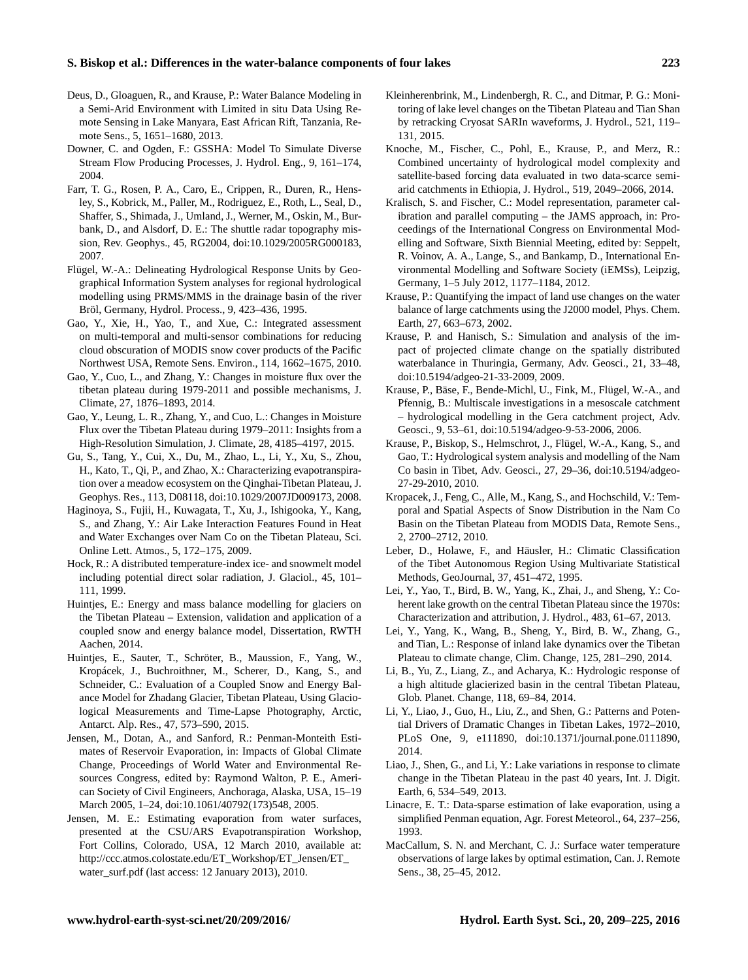#### **S. Biskop et al.: Differences in the water-balance components of four lakes 223**

- Deus, D., Gloaguen, R., and Krause, P.: Water Balance Modeling in a Semi-Arid Environment with Limited in situ Data Using Remote Sensing in Lake Manyara, East African Rift, Tanzania, Remote Sens., 5, 1651–1680, 2013.
- Downer, C. and Ogden, F.: GSSHA: Model To Simulate Diverse Stream Flow Producing Processes, J. Hydrol. Eng., 9, 161–174, 2004.
- Farr, T. G., Rosen, P. A., Caro, E., Crippen, R., Duren, R., Hensley, S., Kobrick, M., Paller, M., Rodriguez, E., Roth, L., Seal, D., Shaffer, S., Shimada, J., Umland, J., Werner, M., Oskin, M., Burbank, D., and Alsdorf, D. E.: The shuttle radar topography mission, Rev. Geophys., 45, RG2004, doi[:10.1029/2005RG000183,](http://dx.doi.org/10.1029/2005RG000183) 2007.
- Flügel, W.-A.: Delineating Hydrological Response Units by Geographical Information System analyses for regional hydrological modelling using PRMS/MMS in the drainage basin of the river Bröl, Germany, Hydrol. Process., 9, 423–436, 1995.
- Gao, Y., Xie, H., Yao, T., and Xue, C.: Integrated assessment on multi-temporal and multi-sensor combinations for reducing cloud obscuration of MODIS snow cover products of the Pacific Northwest USA, Remote Sens. Environ., 114, 1662–1675, 2010.
- Gao, Y., Cuo, L., and Zhang, Y.: Changes in moisture flux over the tibetan plateau during 1979-2011 and possible mechanisms, J. Climate, 27, 1876–1893, 2014.
- Gao, Y., Leung, L. R., Zhang, Y., and Cuo, L.: Changes in Moisture Flux over the Tibetan Plateau during 1979–2011: Insights from a High-Resolution Simulation, J. Climate, 28, 4185–4197, 2015.
- Gu, S., Tang, Y., Cui, X., Du, M., Zhao, L., Li, Y., Xu, S., Zhou, H., Kato, T., Qi, P., and Zhao, X.: Characterizing evapotranspiration over a meadow ecosystem on the Qinghai-Tibetan Plateau, J. Geophys. Res., 113, D08118, doi[:10.1029/2007JD009173,](http://dx.doi.org/10.1029/2007JD009173) 2008.
- Haginoya, S., Fujii, H., Kuwagata, T., Xu, J., Ishigooka, Y., Kang, S., and Zhang, Y.: Air Lake Interaction Features Found in Heat and Water Exchanges over Nam Co on the Tibetan Plateau, Sci. Online Lett. Atmos., 5, 172–175, 2009.
- Hock, R.: A distributed temperature-index ice- and snowmelt model including potential direct solar radiation, J. Glaciol., 45, 101– 111, 1999.
- Huintjes, E.: Energy and mass balance modelling for glaciers on the Tibetan Plateau – Extension, validation and application of a coupled snow and energy balance model, Dissertation, RWTH Aachen, 2014.
- Huintjes, E., Sauter, T., Schröter, B., Maussion, F., Yang, W., Kropácek, J., Buchroithner, M., Scherer, D., Kang, S., and Schneider, C.: Evaluation of a Coupled Snow and Energy Balance Model for Zhadang Glacier, Tibetan Plateau, Using Glaciological Measurements and Time-Lapse Photography, Arctic, Antarct. Alp. Res., 47, 573–590, 2015.
- Jensen, M., Dotan, A., and Sanford, R.: Penman-Monteith Estimates of Reservoir Evaporation, in: Impacts of Global Climate Change, Proceedings of World Water and Environmental Resources Congress, edited by: Raymond Walton, P. E., American Society of Civil Engineers, Anchoraga, Alaska, USA, 15–19 March 2005, 1–24, doi[:10.1061/40792\(173\)548,](http://dx.doi.org/10.1061/40792(173)548) 2005.
- Jensen, M. E.: Estimating evaporation from water surfaces, presented at the CSU/ARS Evapotranspiration Workshop, Fort Collins, Colorado, USA, 12 March 2010, available at: [http://ccc.atmos.colostate.edu/ET\\_Workshop/ET\\_Jensen/ET\\_](http://ccc.atmos.colostate.edu/ET_Workshop/ET_Jensen/ET_water_surf.pdf) [water\\_surf.pdf](http://ccc.atmos.colostate.edu/ET_Workshop/ET_Jensen/ET_water_surf.pdf) (last access: 12 January 2013), 2010.
- Kleinherenbrink, M., Lindenbergh, R. C., and Ditmar, P. G.: Monitoring of lake level changes on the Tibetan Plateau and Tian Shan by retracking Cryosat SARIn waveforms, J. Hydrol., 521, 119– 131, 2015.
- Knoche, M., Fischer, C., Pohl, E., Krause, P., and Merz, R.: Combined uncertainty of hydrological model complexity and satellite-based forcing data evaluated in two data-scarce semiarid catchments in Ethiopia, J. Hydrol., 519, 2049–2066, 2014.
- Kralisch, S. and Fischer, C.: Model representation, parameter calibration and parallel computing – the JAMS approach, in: Proceedings of the International Congress on Environmental Modelling and Software, Sixth Biennial Meeting, edited by: Seppelt, R. Voinov, A. A., Lange, S., and Bankamp, D., International Environmental Modelling and Software Society (iEMSs), Leipzig, Germany, 1–5 July 2012, 1177–1184, 2012.
- Krause, P.: Quantifying the impact of land use changes on the water balance of large catchments using the J2000 model, Phys. Chem. Earth, 27, 663–673, 2002.
- Krause, P. and Hanisch, S.: Simulation and analysis of the impact of projected climate change on the spatially distributed waterbalance in Thuringia, Germany, Adv. Geosci., 21, 33–48, doi[:10.5194/adgeo-21-33-2009,](http://dx.doi.org/10.5194/adgeo-21-33-2009) 2009.
- Krause, P., Bäse, F., Bende-Michl, U., Fink, M., Flügel, W.-A., and Pfennig, B.: Multiscale investigations in a mesoscale catchment – hydrological modelling in the Gera catchment project, Adv. Geosci., 9, 53–61, doi[:10.5194/adgeo-9-53-2006,](http://dx.doi.org/10.5194/adgeo-9-53-2006) 2006.
- Krause, P., Biskop, S., Helmschrot, J., Flügel, W.-A., Kang, S., and Gao, T.: Hydrological system analysis and modelling of the Nam Co basin in Tibet, Adv. Geosci., 27, 29–36, doi[:10.5194/adgeo-](http://dx.doi.org/10.5194/adgeo-27-29-2010)[27-29-2010,](http://dx.doi.org/10.5194/adgeo-27-29-2010) 2010.
- Kropacek, J., Feng, C., Alle, M., Kang, S., and Hochschild, V.: Temporal and Spatial Aspects of Snow Distribution in the Nam Co Basin on the Tibetan Plateau from MODIS Data, Remote Sens., 2, 2700–2712, 2010.
- Leber, D., Holawe, F., and Häusler, H.: Climatic Classification of the Tibet Autonomous Region Using Multivariate Statistical Methods, GeoJournal, 37, 451–472, 1995.
- Lei, Y., Yao, T., Bird, B. W., Yang, K., Zhai, J., and Sheng, Y.: Coherent lake growth on the central Tibetan Plateau since the 1970s: Characterization and attribution, J. Hydrol., 483, 61–67, 2013.
- Lei, Y., Yang, K., Wang, B., Sheng, Y., Bird, B. W., Zhang, G., and Tian, L.: Response of inland lake dynamics over the Tibetan Plateau to climate change, Clim. Change, 125, 281–290, 2014.
- Li, B., Yu, Z., Liang, Z., and Acharya, K.: Hydrologic response of a high altitude glacierized basin in the central Tibetan Plateau, Glob. Planet. Change, 118, 69–84, 2014.
- Li, Y., Liao, J., Guo, H., Liu, Z., and Shen, G.: Patterns and Potential Drivers of Dramatic Changes in Tibetan Lakes, 1972–2010, PLoS One, 9, e111890, doi[:10.1371/journal.pone.0111890,](http://dx.doi.org/10.1371/journal.pone.0111890) 2014.
- Liao, J., Shen, G., and Li, Y.: Lake variations in response to climate change in the Tibetan Plateau in the past 40 years, Int. J. Digit. Earth, 6, 534–549, 2013.
- Linacre, E. T.: Data-sparse estimation of lake evaporation, using a simplified Penman equation, Agr. Forest Meteorol., 64, 237–256, 1993.
- MacCallum, S. N. and Merchant, C. J.: Surface water temperature observations of large lakes by optimal estimation, Can. J. Remote Sens., 38, 25–45, 2012.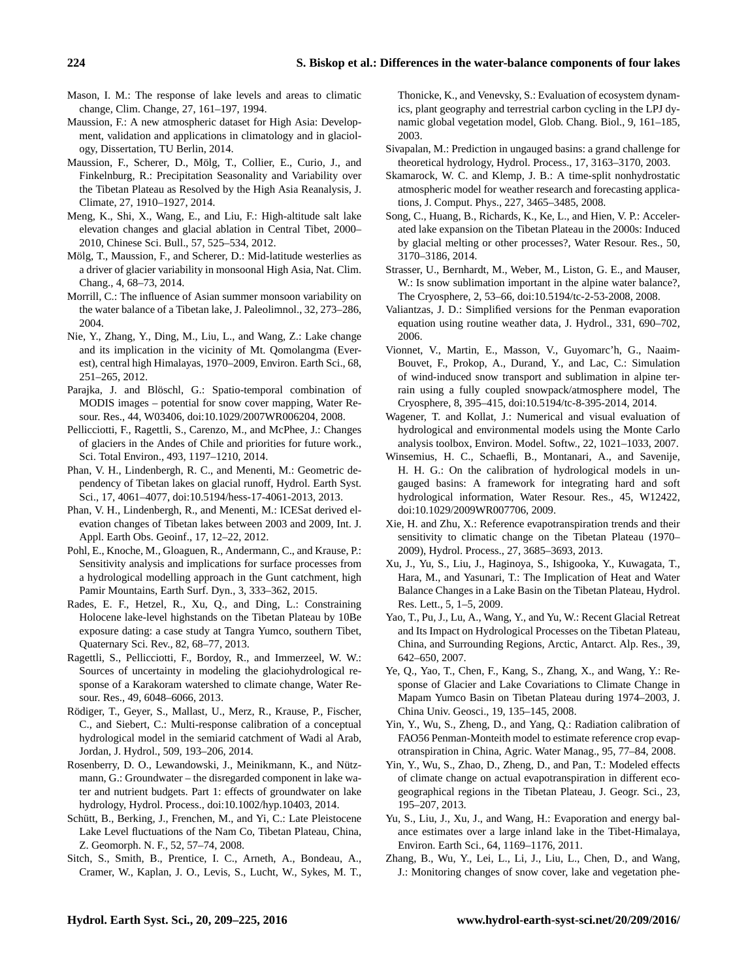- Mason, I. M.: The response of lake levels and areas to climatic change, Clim. Change, 27, 161–197, 1994.
- Maussion, F.: A new atmospheric dataset for High Asia: Development, validation and applications in climatology and in glaciology, Dissertation, TU Berlin, 2014.
- Maussion, F., Scherer, D., Mölg, T., Collier, E., Curio, J., and Finkelnburg, R.: Precipitation Seasonality and Variability over the Tibetan Plateau as Resolved by the High Asia Reanalysis, J. Climate, 27, 1910–1927, 2014.
- Meng, K., Shi, X., Wang, E., and Liu, F.: High-altitude salt lake elevation changes and glacial ablation in Central Tibet, 2000– 2010, Chinese Sci. Bull., 57, 525–534, 2012.
- Mölg, T., Maussion, F., and Scherer, D.: Mid-latitude westerlies as a driver of glacier variability in monsoonal High Asia, Nat. Clim. Chang., 4, 68–73, 2014.
- Morrill, C.: The influence of Asian summer monsoon variability on the water balance of a Tibetan lake, J. Paleolimnol., 32, 273–286, 2004.
- Nie, Y., Zhang, Y., Ding, M., Liu, L., and Wang, Z.: Lake change and its implication in the vicinity of Mt. Qomolangma (Everest), central high Himalayas, 1970–2009, Environ. Earth Sci., 68, 251–265, 2012.
- Parajka, J. and Blöschl, G.: Spatio-temporal combination of MODIS images – potential for snow cover mapping, Water Resour. Res., 44, W03406, doi[:10.1029/2007WR006204,](http://dx.doi.org/10.1029/2007WR006204) 2008.
- Pellicciotti, F., Ragettli, S., Carenzo, M., and McPhee, J.: Changes of glaciers in the Andes of Chile and priorities for future work., Sci. Total Environ., 493, 1197–1210, 2014.
- Phan, V. H., Lindenbergh, R. C., and Menenti, M.: Geometric dependency of Tibetan lakes on glacial runoff, Hydrol. Earth Syst. Sci., 17, 4061–4077, doi[:10.5194/hess-17-4061-2013,](http://dx.doi.org/10.5194/hess-17-4061-2013) 2013.
- Phan, V. H., Lindenbergh, R., and Menenti, M.: ICESat derived elevation changes of Tibetan lakes between 2003 and 2009, Int. J. Appl. Earth Obs. Geoinf., 17, 12–22, 2012.
- Pohl, E., Knoche, M., Gloaguen, R., Andermann, C., and Krause, P.: Sensitivity analysis and implications for surface processes from a hydrological modelling approach in the Gunt catchment, high Pamir Mountains, Earth Surf. Dyn., 3, 333–362, 2015.
- Rades, E. F., Hetzel, R., Xu, Q., and Ding, L.: Constraining Holocene lake-level highstands on the Tibetan Plateau by 10Be exposure dating: a case study at Tangra Yumco, southern Tibet, Quaternary Sci. Rev., 82, 68–77, 2013.
- Ragettli, S., Pellicciotti, F., Bordoy, R., and Immerzeel, W. W.: Sources of uncertainty in modeling the glaciohydrological response of a Karakoram watershed to climate change, Water Resour. Res., 49, 6048–6066, 2013.
- Rödiger, T., Geyer, S., Mallast, U., Merz, R., Krause, P., Fischer, C., and Siebert, C.: Multi-response calibration of a conceptual hydrological model in the semiarid catchment of Wadi al Arab, Jordan, J. Hydrol., 509, 193–206, 2014.
- Rosenberry, D. O., Lewandowski, J., Meinikmann, K., and Nützmann, G.: Groundwater – the disregarded component in lake water and nutrient budgets. Part 1: effects of groundwater on lake hydrology, Hydrol. Process., doi[:10.1002/hyp.10403,](http://dx.doi.org/10.1002/hyp.10403) 2014.
- Schütt, B., Berking, J., Frenchen, M., and Yi, C.: Late Pleistocene Lake Level fluctuations of the Nam Co, Tibetan Plateau, China, Z. Geomorph. N. F., 52, 57–74, 2008.
- Sitch, S., Smith, B., Prentice, I. C., Arneth, A., Bondeau, A., Cramer, W., Kaplan, J. O., Levis, S., Lucht, W., Sykes, M. T.,

Thonicke, K., and Venevsky, S.: Evaluation of ecosystem dynamics, plant geography and terrestrial carbon cycling in the LPJ dynamic global vegetation model, Glob. Chang. Biol., 9, 161–185, 2003.

- Sivapalan, M.: Prediction in ungauged basins: a grand challenge for theoretical hydrology, Hydrol. Process., 17, 3163–3170, 2003.
- Skamarock, W. C. and Klemp, J. B.: A time-split nonhydrostatic atmospheric model for weather research and forecasting applications, J. Comput. Phys., 227, 3465–3485, 2008.
- Song, C., Huang, B., Richards, K., Ke, L., and Hien, V. P.: Accelerated lake expansion on the Tibetan Plateau in the 2000s: Induced by glacial melting or other processes?, Water Resour. Res., 50, 3170–3186, 2014.
- Strasser, U., Bernhardt, M., Weber, M., Liston, G. E., and Mauser, W.: Is snow sublimation important in the alpine water balance?, The Cryosphere, 2, 53–66, doi[:10.5194/tc-2-53-2008,](http://dx.doi.org/10.5194/tc-2-53-2008) 2008.
- Valiantzas, J. D.: Simplified versions for the Penman evaporation equation using routine weather data, J. Hydrol., 331, 690–702, 2006.
- Vionnet, V., Martin, E., Masson, V., Guyomarc'h, G., Naaim-Bouvet, F., Prokop, A., Durand, Y., and Lac, C.: Simulation of wind-induced snow transport and sublimation in alpine terrain using a fully coupled snowpack/atmosphere model, The Cryosphere, 8, 395–415, doi[:10.5194/tc-8-395-2014,](http://dx.doi.org/10.5194/tc-8-395-2014) 2014.
- Wagener, T. and Kollat, J.: Numerical and visual evaluation of hydrological and environmental models using the Monte Carlo analysis toolbox, Environ. Model. Softw., 22, 1021–1033, 2007.
- Winsemius, H. C., Schaefli, B., Montanari, A., and Savenije, H. H. G.: On the calibration of hydrological models in ungauged basins: A framework for integrating hard and soft hydrological information, Water Resour. Res., 45, W12422, doi[:10.1029/2009WR007706,](http://dx.doi.org/10.1029/2009WR007706) 2009.
- Xie, H. and Zhu, X.: Reference evapotranspiration trends and their sensitivity to climatic change on the Tibetan Plateau (1970– 2009), Hydrol. Process., 27, 3685–3693, 2013.
- Xu, J., Yu, S., Liu, J., Haginoya, S., Ishigooka, Y., Kuwagata, T., Hara, M., and Yasunari, T.: The Implication of Heat and Water Balance Changes in a Lake Basin on the Tibetan Plateau, Hydrol. Res. Lett., 5, 1–5, 2009.
- Yao, T., Pu, J., Lu, A., Wang, Y., and Yu, W.: Recent Glacial Retreat and Its Impact on Hydrological Processes on the Tibetan Plateau, China, and Surrounding Regions, Arctic, Antarct. Alp. Res., 39, 642–650, 2007.
- Ye, Q., Yao, T., Chen, F., Kang, S., Zhang, X., and Wang, Y.: Response of Glacier and Lake Covariations to Climate Change in Mapam Yumco Basin on Tibetan Plateau during 1974–2003, J. China Univ. Geosci., 19, 135–145, 2008.
- Yin, Y., Wu, S., Zheng, D., and Yang, Q.: Radiation calibration of FAO56 Penman-Monteith model to estimate reference crop evapotranspiration in China, Agric. Water Manag., 95, 77–84, 2008.
- Yin, Y., Wu, S., Zhao, D., Zheng, D., and Pan, T.: Modeled effects of climate change on actual evapotranspiration in different ecogeographical regions in the Tibetan Plateau, J. Geogr. Sci., 23, 195–207, 2013.
- Yu, S., Liu, J., Xu, J., and Wang, H.: Evaporation and energy balance estimates over a large inland lake in the Tibet-Himalaya, Environ. Earth Sci., 64, 1169–1176, 2011.
- Zhang, B., Wu, Y., Lei, L., Li, J., Liu, L., Chen, D., and Wang, J.: Monitoring changes of snow cover, lake and vegetation phe-